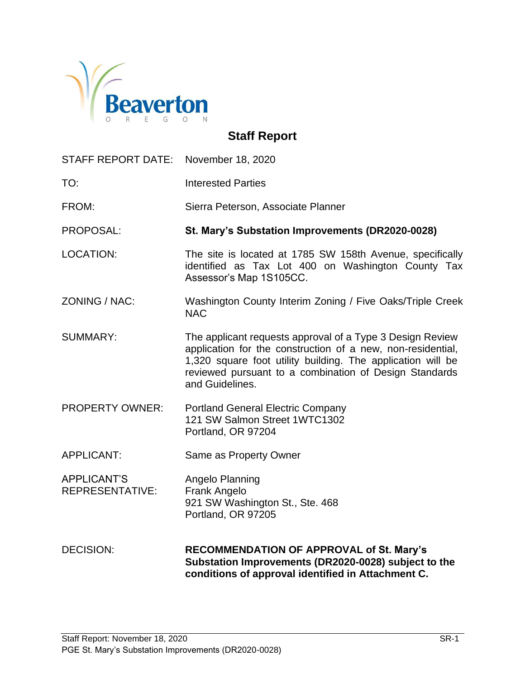

# **Staff Report**

| STAFF REPORT DATE: November 18, 2020         |                                                                                                                                                                                                                                                                      |
|----------------------------------------------|----------------------------------------------------------------------------------------------------------------------------------------------------------------------------------------------------------------------------------------------------------------------|
| TO:                                          | <b>Interested Parties</b>                                                                                                                                                                                                                                            |
| FROM:                                        | Sierra Peterson, Associate Planner                                                                                                                                                                                                                                   |
| PROPOSAL:                                    | St. Mary's Substation Improvements (DR2020-0028)                                                                                                                                                                                                                     |
| <b>LOCATION:</b>                             | The site is located at 1785 SW 158th Avenue, specifically<br>identified as Tax Lot 400 on Washington County Tax<br>Assessor's Map 1S105CC.                                                                                                                           |
| ZONING / NAC:                                | Washington County Interim Zoning / Five Oaks/Triple Creek<br><b>NAC</b>                                                                                                                                                                                              |
| <b>SUMMARY:</b>                              | The applicant requests approval of a Type 3 Design Review<br>application for the construction of a new, non-residential,<br>1,320 square foot utility building. The application will be<br>reviewed pursuant to a combination of Design Standards<br>and Guidelines. |
| <b>PROPERTY OWNER:</b>                       | <b>Portland General Electric Company</b><br>121 SW Salmon Street 1WTC1302<br>Portland, OR 97204                                                                                                                                                                      |
| <b>APPLICANT:</b>                            | Same as Property Owner                                                                                                                                                                                                                                               |
| <b>APPLICANT'S</b><br><b>REPRESENTATIVE:</b> | Angelo Planning<br>Frank Angelo<br>921 SW Washington St., Ste. 468<br>Portland, OR 97205                                                                                                                                                                             |
| <b>DECISION:</b>                             | <b>RECOMMENDATION OF APPROVAL of St. Mary's</b><br>Substation Improvements (DR2020-0028) subject to the<br>conditions of approval identified in Attachment C.                                                                                                        |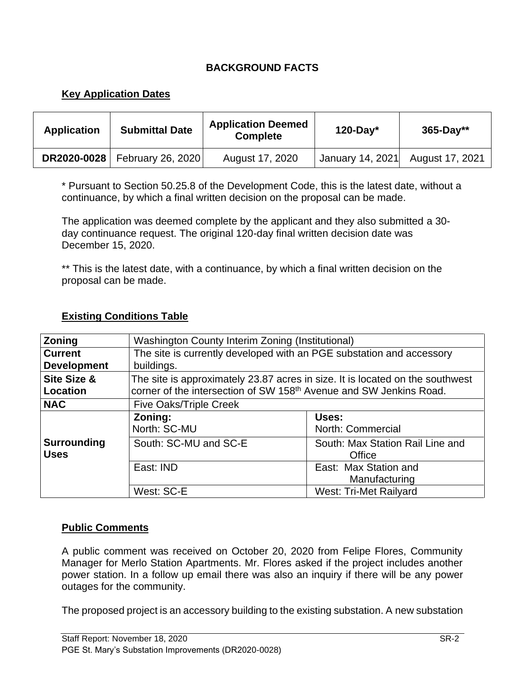## **BACKGROUND FACTS**

## **Key Application Dates**

| <b>Application</b> | <b>Submittal Date</b>                  | <b>Application Deemed</b><br><b>Complete</b> | $120$ -Day*      | $365 - Day**$   |
|--------------------|----------------------------------------|----------------------------------------------|------------------|-----------------|
|                    | <b>DR2020-0028</b>   February 26, 2020 | August 17, 2020                              | January 14, 2021 | August 17, 2021 |

\* Pursuant to Section 50.25.8 of the Development Code, this is the latest date, without a continuance, by which a final written decision on the proposal can be made.

The application was deemed complete by the applicant and they also submitted a 30 day continuance request. The original 120-day final written decision date was December 15, 2020.

\*\* This is the latest date, with a continuance, by which a final written decision on the proposal can be made.

| <b>Zoning</b>                        | Washington County Interim Zoning (Institutional)                                                                                                                |                               |  |  |
|--------------------------------------|-----------------------------------------------------------------------------------------------------------------------------------------------------------------|-------------------------------|--|--|
| <b>Current</b><br><b>Development</b> | The site is currently developed with an PGE substation and accessory<br>buildings.                                                                              |                               |  |  |
| <b>Site Size &amp;</b><br>Location   | The site is approximately 23.87 acres in size. It is located on the southwest<br>corner of the intersection of SW 158 <sup>th</sup> Avenue and SW Jenkins Road. |                               |  |  |
| <b>NAC</b>                           | <b>Five Oaks/Triple Creek</b>                                                                                                                                   |                               |  |  |
|                                      | Zoning:<br>North: SC-MU                                                                                                                                         | Uses:<br>North: Commercial    |  |  |
| <b>Surrounding</b><br><b>Uses</b>    | South: SC-MU and SC-E<br>South: Max Station Rail Line and<br>Office                                                                                             |                               |  |  |
|                                      | East: Max Station and<br>East: IND<br>Manufacturing                                                                                                             |                               |  |  |
|                                      | West: SC-E                                                                                                                                                      | <b>West: Tri-Met Railyard</b> |  |  |

## **Existing Conditions Table**

## **Public Comments**

A public comment was received on October 20, 2020 from Felipe Flores, Community Manager for Merlo Station Apartments. Mr. Flores asked if the project includes another power station. In a follow up email there was also an inquiry if there will be any power outages for the community.

The proposed project is an accessory building to the existing substation. A new substation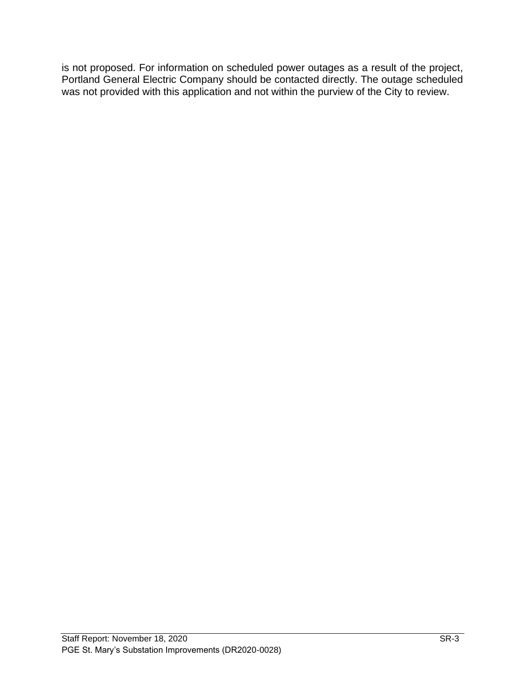is not proposed. For information on scheduled power outages as a result of the project, Portland General Electric Company should be contacted directly. The outage scheduled was not provided with this application and not within the purview of the City to review.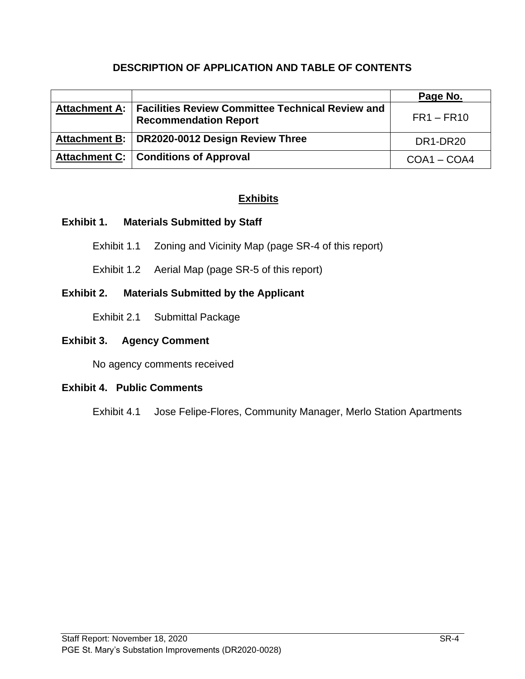## **DESCRIPTION OF APPLICATION AND TABLE OF CONTENTS**

|                                                                                                  | Page No.      |
|--------------------------------------------------------------------------------------------------|---------------|
| Attachment A:   Facilities Review Committee Technical Review and<br><b>Recommendation Report</b> | $FR1 - FR10$  |
| Attachment B:   DR2020-0012 Design Review Three                                                  | DR1-DR20      |
| Attachment C:   Conditions of Approval                                                           | $COA1 - COA4$ |

## **Exhibits**

#### **Exhibit 1. Materials Submitted by Staff**

- Exhibit 1.1 Zoning and Vicinity Map (page SR-4 of this report)
- Exhibit 1.2 Aerial Map (page SR-5 of this report)

## **Exhibit 2. Materials Submitted by the Applicant**

Exhibit 2.1 Submittal Package

#### **Exhibit 3. Agency Comment**

No agency comments received

## **Exhibit 4. Public Comments**

Exhibit 4.1 Jose Felipe-Flores, Community Manager, Merlo Station Apartments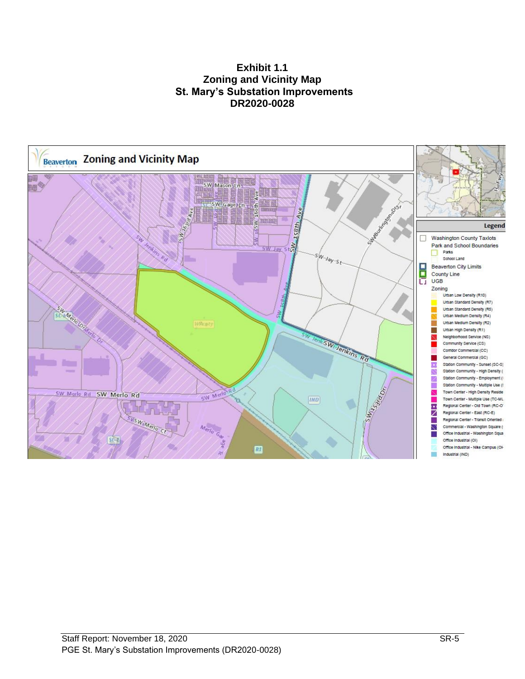#### **Exhibit 1.1 Zoning and Vicinity Map St. Mary's Substation Improvements DR2020-0028**

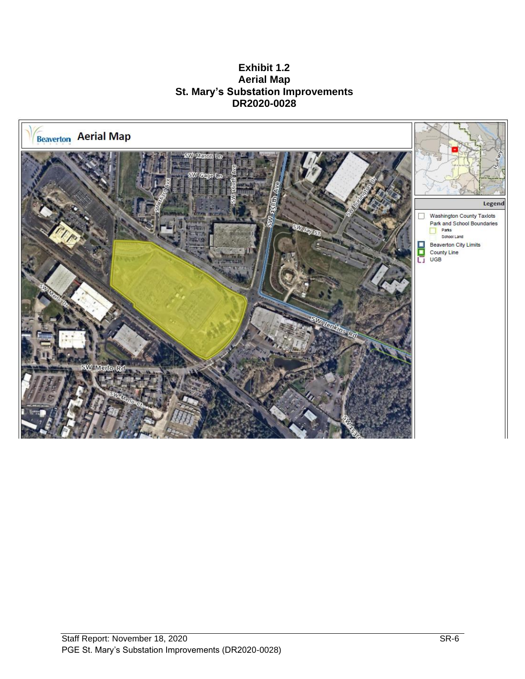**Exhibit 1.2 Aerial Map St. Mary's Substation Improvements DR2020-0028**

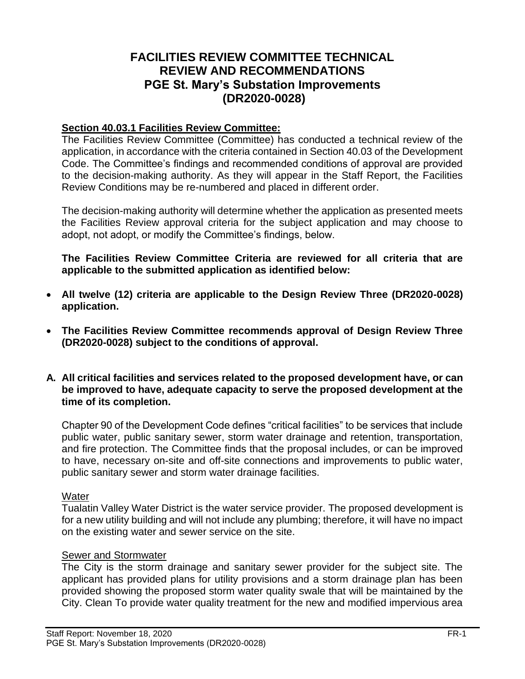## **FACILITIES REVIEW COMMITTEE TECHNICAL REVIEW AND RECOMMENDATIONS PGE St. Mary's Substation Improvements (DR2020-0028)**

#### **Section 40.03.1 Facilities Review Committee:**

The Facilities Review Committee (Committee) has conducted a technical review of the application, in accordance with the criteria contained in Section 40.03 of the Development Code. The Committee's findings and recommended conditions of approval are provided to the decision-making authority. As they will appear in the Staff Report, the Facilities Review Conditions may be re-numbered and placed in different order.

The decision-making authority will determine whether the application as presented meets the Facilities Review approval criteria for the subject application and may choose to adopt, not adopt, or modify the Committee's findings, below.

**The Facilities Review Committee Criteria are reviewed for all criteria that are applicable to the submitted application as identified below:**

- **All twelve (12) criteria are applicable to the Design Review Three (DR2020-0028) application.**
- **The Facilities Review Committee recommends approval of Design Review Three (DR2020-0028) subject to the conditions of approval.**
- **A. All critical facilities and services related to the proposed development have, or can be improved to have, adequate capacity to serve the proposed development at the time of its completion.**

Chapter 90 of the Development Code defines "critical facilities" to be services that include public water, public sanitary sewer, storm water drainage and retention, transportation, and fire protection. The Committee finds that the proposal includes, or can be improved to have, necessary on-site and off-site connections and improvements to public water, public sanitary sewer and storm water drainage facilities.

#### **Water**

Tualatin Valley Water District is the water service provider. The proposed development is for a new utility building and will not include any plumbing; therefore, it will have no impact on the existing water and sewer service on the site.

## **Sewer and Stormwater**

The City is the storm drainage and sanitary sewer provider for the subject site. The applicant has provided plans for utility provisions and a storm drainage plan has been provided showing the proposed storm water quality swale that will be maintained by the City. Clean To provide water quality treatment for the new and modified impervious area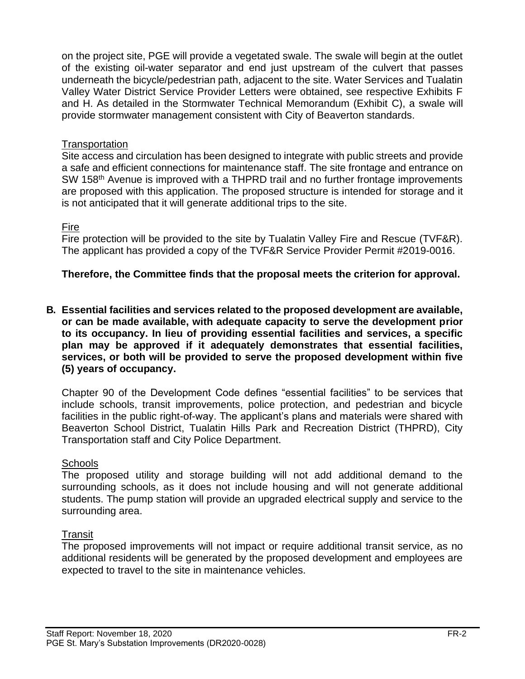on the project site, PGE will provide a vegetated swale. The swale will begin at the outlet of the existing oil-water separator and end just upstream of the culvert that passes underneath the bicycle/pedestrian path, adjacent to the site. Water Services and Tualatin Valley Water District Service Provider Letters were obtained, see respective Exhibits F and H. As detailed in the Stormwater Technical Memorandum (Exhibit C), a swale will provide stormwater management consistent with City of Beaverton standards.

### Transportation

Site access and circulation has been designed to integrate with public streets and provide a safe and efficient connections for maintenance staff. The site frontage and entrance on SW 158<sup>th</sup> Avenue is improved with a THPRD trail and no further frontage improvements are proposed with this application. The proposed structure is intended for storage and it is not anticipated that it will generate additional trips to the site.

#### Fire

Fire protection will be provided to the site by Tualatin Valley Fire and Rescue (TVF&R). The applicant has provided a copy of the TVF&R Service Provider Permit #2019-0016.

## **Therefore, the Committee finds that the proposal meets the criterion for approval.**

**B. Essential facilities and services related to the proposed development are available, or can be made available, with adequate capacity to serve the development prior to its occupancy. In lieu of providing essential facilities and services, a specific plan may be approved if it adequately demonstrates that essential facilities, services, or both will be provided to serve the proposed development within five (5) years of occupancy.**

Chapter 90 of the Development Code defines "essential facilities" to be services that include schools, transit improvements, police protection, and pedestrian and bicycle facilities in the public right-of-way. The applicant's plans and materials were shared with Beaverton School District, Tualatin Hills Park and Recreation District (THPRD), City Transportation staff and City Police Department.

#### **Schools**

The proposed utility and storage building will not add additional demand to the surrounding schools, as it does not include housing and will not generate additional students. The pump station will provide an upgraded electrical supply and service to the surrounding area.

## **Transit**

The proposed improvements will not impact or require additional transit service, as no additional residents will be generated by the proposed development and employees are expected to travel to the site in maintenance vehicles.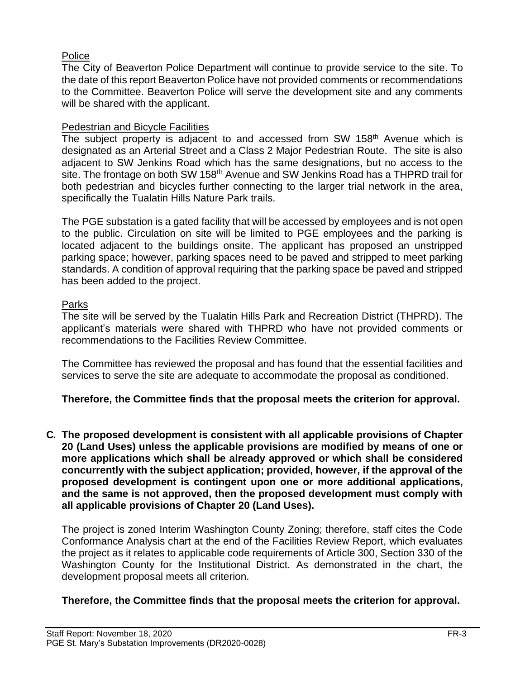## **Police**

The City of Beaverton Police Department will continue to provide service to the site. To the date of this report Beaverton Police have not provided comments or recommendations to the Committee. Beaverton Police will serve the development site and any comments will be shared with the applicant.

## Pedestrian and Bicycle Facilities

The subject property is adjacent to and accessed from SW  $158<sup>th</sup>$  Avenue which is designated as an Arterial Street and a Class 2 Major Pedestrian Route. The site is also adjacent to SW Jenkins Road which has the same designations, but no access to the site. The frontage on both SW 158<sup>th</sup> Avenue and SW Jenkins Road has a THPRD trail for both pedestrian and bicycles further connecting to the larger trial network in the area, specifically the Tualatin Hills Nature Park trails.

The PGE substation is a gated facility that will be accessed by employees and is not open to the public. Circulation on site will be limited to PGE employees and the parking is located adjacent to the buildings onsite. The applicant has proposed an unstripped parking space; however, parking spaces need to be paved and stripped to meet parking standards. A condition of approval requiring that the parking space be paved and stripped has been added to the project.

## Parks

The site will be served by the Tualatin Hills Park and Recreation District (THPRD). The applicant's materials were shared with THPRD who have not provided comments or recommendations to the Facilities Review Committee.

The Committee has reviewed the proposal and has found that the essential facilities and services to serve the site are adequate to accommodate the proposal as conditioned.

## **Therefore, the Committee finds that the proposal meets the criterion for approval.**

**C. The proposed development is consistent with all applicable provisions of Chapter 20 (Land Uses) unless the applicable provisions are modified by means of one or more applications which shall be already approved or which shall be considered concurrently with the subject application; provided, however, if the approval of the proposed development is contingent upon one or more additional applications, and the same is not approved, then the proposed development must comply with all applicable provisions of Chapter 20 (Land Uses).**

The project is zoned Interim Washington County Zoning; therefore, staff cites the Code Conformance Analysis chart at the end of the Facilities Review Report, which evaluates the project as it relates to applicable code requirements of Article 300, Section 330 of the Washington County for the Institutional District. As demonstrated in the chart, the development proposal meets all criterion.

## **Therefore, the Committee finds that the proposal meets the criterion for approval.**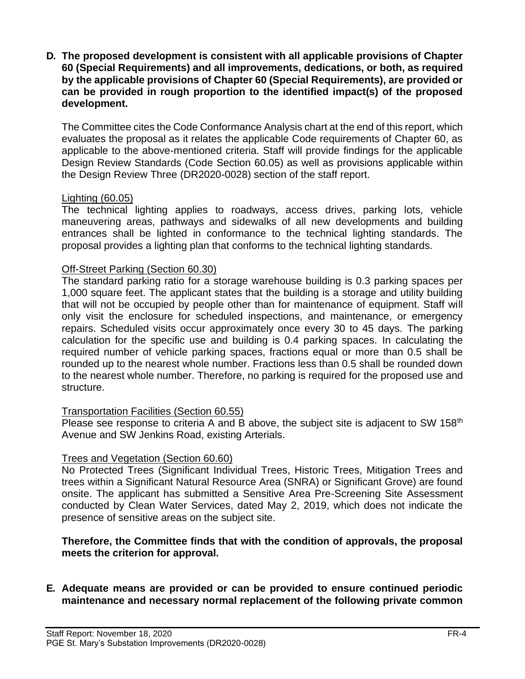**D. The proposed development is consistent with all applicable provisions of Chapter 60 (Special Requirements) and all improvements, dedications, or both, as required by the applicable provisions of Chapter 60 (Special Requirements), are provided or can be provided in rough proportion to the identified impact(s) of the proposed development.** 

The Committee cites the Code Conformance Analysis chart at the end of this report, which evaluates the proposal as it relates the applicable Code requirements of Chapter 60, as applicable to the above-mentioned criteria. Staff will provide findings for the applicable Design Review Standards (Code Section 60.05) as well as provisions applicable within the Design Review Three (DR2020-0028) section of the staff report.

#### Lighting (60.05)

The technical lighting applies to roadways, access drives, parking lots, vehicle maneuvering areas, pathways and sidewalks of all new developments and building entrances shall be lighted in conformance to the technical lighting standards. The proposal provides a lighting plan that conforms to the technical lighting standards.

#### Off-Street Parking (Section 60.30)

The standard parking ratio for a storage warehouse building is 0.3 parking spaces per 1,000 square feet. The applicant states that the building is a storage and utility building that will not be occupied by people other than for maintenance of equipment. Staff will only visit the enclosure for scheduled inspections, and maintenance, or emergency repairs. Scheduled visits occur approximately once every 30 to 45 days. The parking calculation for the specific use and building is 0.4 parking spaces. In calculating the required number of vehicle parking spaces, fractions equal or more than 0.5 shall be rounded up to the nearest whole number. Fractions less than 0.5 shall be rounded down to the nearest whole number. Therefore, no parking is required for the proposed use and structure.

#### Transportation Facilities (Section 60.55)

Please see response to criteria A and B above, the subject site is adjacent to SW 158<sup>th</sup> Avenue and SW Jenkins Road, existing Arterials.

#### Trees and Vegetation (Section 60.60)

No Protected Trees (Significant Individual Trees, Historic Trees, Mitigation Trees and trees within a Significant Natural Resource Area (SNRA) or Significant Grove) are found onsite. The applicant has submitted a Sensitive Area Pre-Screening Site Assessment conducted by Clean Water Services, dated May 2, 2019, which does not indicate the presence of sensitive areas on the subject site.

#### **Therefore, the Committee finds that with the condition of approvals, the proposal meets the criterion for approval.**

#### **E. Adequate means are provided or can be provided to ensure continued periodic maintenance and necessary normal replacement of the following private common**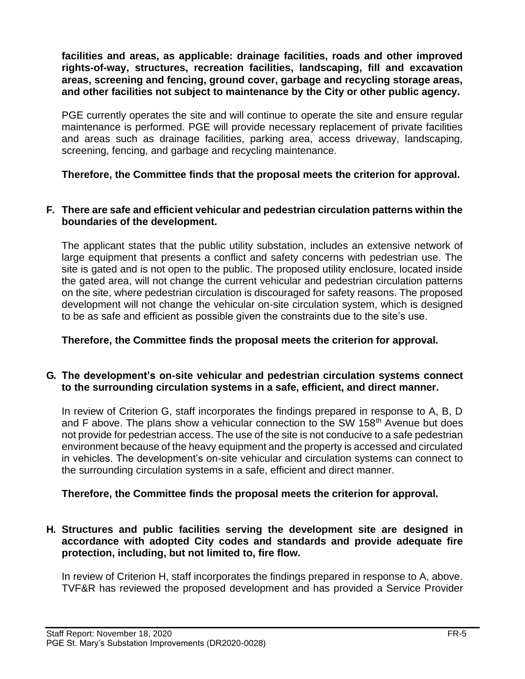**facilities and areas, as applicable: drainage facilities, roads and other improved rights-of-way, structures, recreation facilities, landscaping, fill and excavation areas, screening and fencing, ground cover, garbage and recycling storage areas, and other facilities not subject to maintenance by the City or other public agency.**

PGE currently operates the site and will continue to operate the site and ensure regular maintenance is performed. PGE will provide necessary replacement of private facilities and areas such as drainage facilities, parking area, access driveway, landscaping, screening, fencing, and garbage and recycling maintenance.

**Therefore, the Committee finds that the proposal meets the criterion for approval.**

#### **F. There are safe and efficient vehicular and pedestrian circulation patterns within the boundaries of the development.**

The applicant states that the public utility substation, includes an extensive network of large equipment that presents a conflict and safety concerns with pedestrian use. The site is gated and is not open to the public. The proposed utility enclosure, located inside the gated area, will not change the current vehicular and pedestrian circulation patterns on the site, where pedestrian circulation is discouraged for safety reasons. The proposed development will not change the vehicular on-site circulation system, which is designed to be as safe and efficient as possible given the constraints due to the site's use.

**Therefore, the Committee finds the proposal meets the criterion for approval.**

## **G. The development's on-site vehicular and pedestrian circulation systems connect to the surrounding circulation systems in a safe, efficient, and direct manner.**

In review of Criterion G, staff incorporates the findings prepared in response to A, B, D and F above. The plans show a vehicular connection to the SW 158<sup>th</sup> Avenue but does not provide for pedestrian access. The use of the site is not conducive to a safe pedestrian environment because of the heavy equipment and the property is accessed and circulated in vehicles. The development's on-site vehicular and circulation systems can connect to the surrounding circulation systems in a safe, efficient and direct manner.

## **Therefore, the Committee finds the proposal meets the criterion for approval.**

## **H. Structures and public facilities serving the development site are designed in accordance with adopted City codes and standards and provide adequate fire protection, including, but not limited to, fire flow.**

In review of Criterion H, staff incorporates the findings prepared in response to A, above. TVF&R has reviewed the proposed development and has provided a Service Provider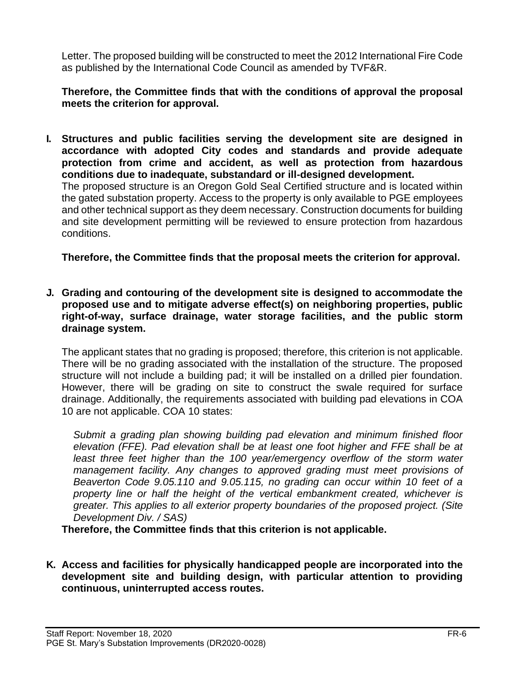Letter. The proposed building will be constructed to meet the 2012 International Fire Code as published by the International Code Council as amended by TVF&R.

**Therefore, the Committee finds that with the conditions of approval the proposal meets the criterion for approval.**

**I. Structures and public facilities serving the development site are designed in accordance with adopted City codes and standards and provide adequate protection from crime and accident, as well as protection from hazardous conditions due to inadequate, substandard or ill-designed development.** The proposed structure is an Oregon Gold Seal Certified structure and is located within the gated substation property. Access to the property is only available to PGE employees and other technical support as they deem necessary. Construction documents for building and site development permitting will be reviewed to ensure protection from hazardous

conditions.

**Therefore, the Committee finds that the proposal meets the criterion for approval.**

**J. Grading and contouring of the development site is designed to accommodate the proposed use and to mitigate adverse effect(s) on neighboring properties, public right-of-way, surface drainage, water storage facilities, and the public storm drainage system.**

The applicant states that no grading is proposed; therefore, this criterion is not applicable. There will be no grading associated with the installation of the structure. The proposed structure will not include a building pad; it will be installed on a drilled pier foundation. However, there will be grading on site to construct the swale required for surface drainage. Additionally, the requirements associated with building pad elevations in COA 10 are not applicable. COA 10 states:

*Submit a grading plan showing building pad elevation and minimum finished floor elevation (FFE). Pad elevation shall be at least one foot higher and FFE shall be at least three feet higher than the 100 year/emergency overflow of the storm water management facility. Any changes to approved grading must meet provisions of Beaverton Code 9.05.110 and 9.05.115, no grading can occur within 10 feet of a property line or half the height of the vertical embankment created, whichever is greater. This applies to all exterior property boundaries of the proposed project. (Site Development Div. / SAS)*

**Therefore, the Committee finds that this criterion is not applicable.** 

**K. Access and facilities for physically handicapped people are incorporated into the development site and building design, with particular attention to providing continuous, uninterrupted access routes.**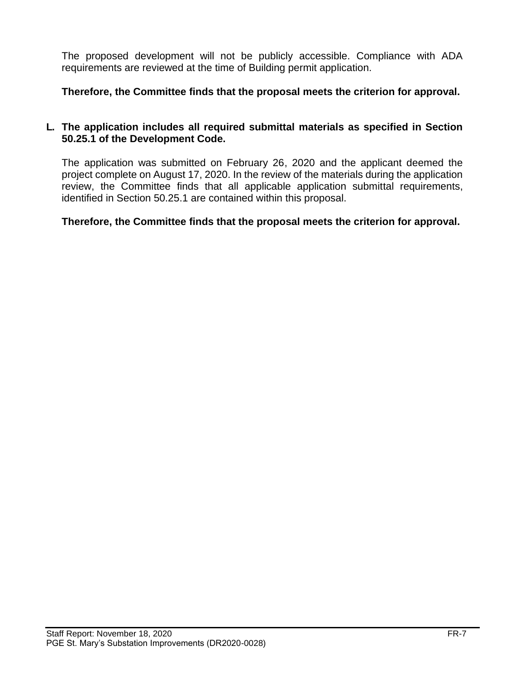The proposed development will not be publicly accessible. Compliance with ADA requirements are reviewed at the time of Building permit application.

**Therefore, the Committee finds that the proposal meets the criterion for approval.**

#### **L. The application includes all required submittal materials as specified in Section 50.25.1 of the Development Code.**

The application was submitted on February 26, 2020 and the applicant deemed the project complete on August 17, 2020. In the review of the materials during the application review, the Committee finds that all applicable application submittal requirements, identified in Section 50.25.1 are contained within this proposal.

**Therefore, the Committee finds that the proposal meets the criterion for approval.**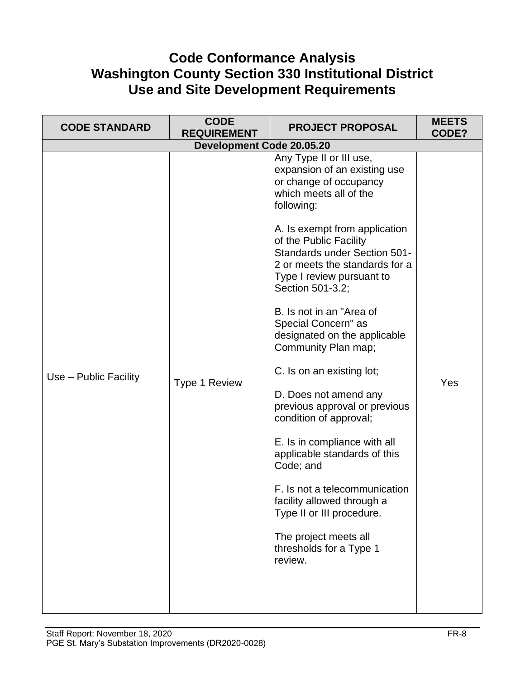# **Code Conformance Analysis Washington County Section 330 Institutional District Use and Site Development Requirements**

| <b>CODE STANDARD</b>  | <b>CODE</b><br><b>REQUIREMENT</b> | <b>PROJECT PROPOSAL</b>                                                                                                                                                                                                                                                                                                                                                                                                                                                                                         | <b>MEETS</b><br>CODE? |
|-----------------------|-----------------------------------|-----------------------------------------------------------------------------------------------------------------------------------------------------------------------------------------------------------------------------------------------------------------------------------------------------------------------------------------------------------------------------------------------------------------------------------------------------------------------------------------------------------------|-----------------------|
|                       | <b>Development Code 20.05.20</b>  |                                                                                                                                                                                                                                                                                                                                                                                                                                                                                                                 |                       |
| Use - Public Facility | Type 1 Review                     | Any Type II or III use,<br>expansion of an existing use<br>or change of occupancy<br>which meets all of the<br>following:<br>A. Is exempt from application<br>of the Public Facility<br><b>Standards under Section 501-</b><br>2 or meets the standards for a<br>Type I review pursuant to<br>Section 501-3.2;<br>B. Is not in an "Area of<br>Special Concern" as<br>designated on the applicable<br>Community Plan map;<br>C. Is on an existing lot;<br>D. Does not amend any<br>previous approval or previous | Yes                   |
|                       |                                   | condition of approval;<br>E. Is in compliance with all<br>applicable standards of this<br>Code; and<br>F. Is not a telecommunication<br>facility allowed through a<br>Type II or III procedure.<br>The project meets all<br>thresholds for a Type 1<br>review.                                                                                                                                                                                                                                                  |                       |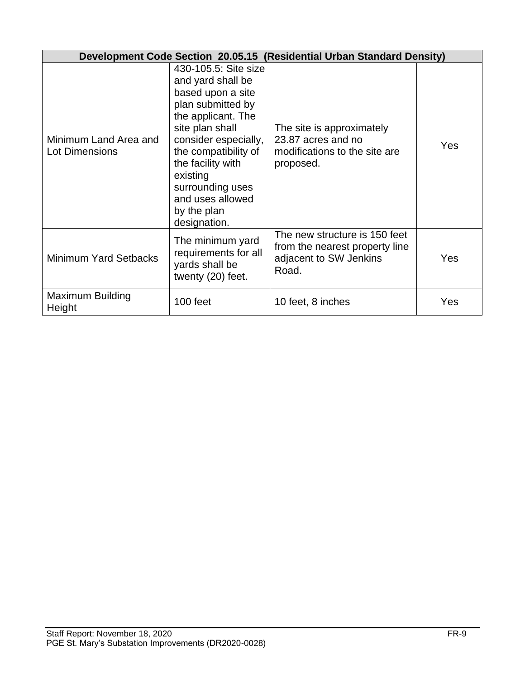|                                                | Development Code Section 20.05.15 (Residential Urban Standard Density)                                                                                                                                                                                                               |                                                                                                    |     |  |
|------------------------------------------------|--------------------------------------------------------------------------------------------------------------------------------------------------------------------------------------------------------------------------------------------------------------------------------------|----------------------------------------------------------------------------------------------------|-----|--|
| Minimum Land Area and<br><b>Lot Dimensions</b> | 430-105.5: Site size<br>and yard shall be<br>based upon a site<br>plan submitted by<br>the applicant. The<br>site plan shall<br>consider especially,<br>the compatibility of<br>the facility with<br>existing<br>surrounding uses<br>and uses allowed<br>by the plan<br>designation. | The site is approximately<br>23.87 acres and no<br>modifications to the site are<br>proposed.      | Yes |  |
| <b>Minimum Yard Setbacks</b>                   | The minimum yard<br>requirements for all<br>yards shall be<br>twenty (20) feet.                                                                                                                                                                                                      | The new structure is 150 feet<br>from the nearest property line<br>adjacent to SW Jenkins<br>Road. | Yes |  |
| <b>Maximum Building</b><br>Height              | 100 feet                                                                                                                                                                                                                                                                             | 10 feet, 8 inches                                                                                  | Yes |  |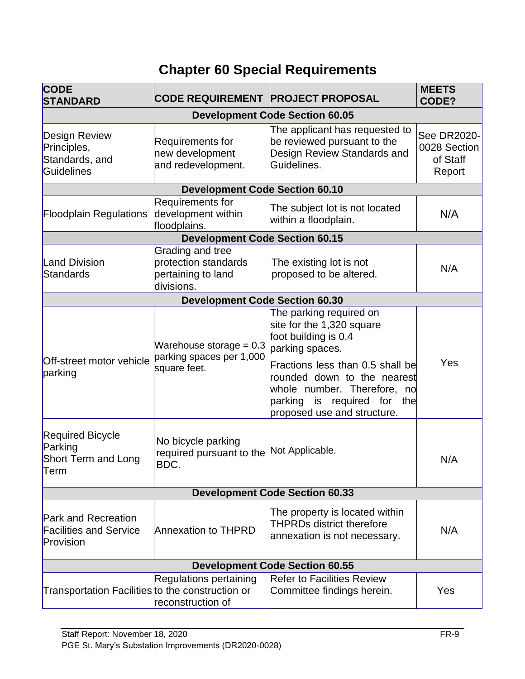# **Chapter 60 Special Requirements**

| <b>CODE</b><br><b>STANDARD</b>                                           | <b>CODE REQUIREMENT PROJECT PROPOSAL</b>                                     |                                                                                                                                                                 | <b>MEETS</b><br>CODE?                             |
|--------------------------------------------------------------------------|------------------------------------------------------------------------------|-----------------------------------------------------------------------------------------------------------------------------------------------------------------|---------------------------------------------------|
|                                                                          |                                                                              | <b>Development Code Section 60.05</b>                                                                                                                           |                                                   |
| Design Review<br>Principles,<br>Standards, and<br>Guidelines             | Requirements for<br>new development<br>and redevelopment.                    | The applicant has requested to<br>be reviewed pursuant to the<br>Design Review Standards and<br>Guidelines.                                                     | See DR2020-<br>0028 Section<br>of Staff<br>Report |
|                                                                          | <b>Development Code Section 60.10</b>                                        |                                                                                                                                                                 |                                                   |
| <b>Floodplain Regulations</b>                                            | Requirements for<br>development within<br>floodplains.                       | The subject lot is not located<br>within a floodplain.                                                                                                          | N/A                                               |
|                                                                          | <b>Development Code Section 60.15</b>                                        |                                                                                                                                                                 |                                                   |
| <b>Land Division</b><br>Standards                                        | Grading and tree<br>protection standards<br>pertaining to land<br>divisions. | The existing lot is not<br>proposed to be altered.                                                                                                              | N/A                                               |
|                                                                          | <b>Development Code Section 60.30</b>                                        |                                                                                                                                                                 |                                                   |
|                                                                          | Warehouse storage = $0.3$<br>parking spaces per 1,000                        | The parking required on<br>site for the 1,320 square<br>foot building is 0.4<br>parking spaces.                                                                 |                                                   |
| Off-street motor vehicle<br>parking                                      | square feet.                                                                 | Fractions less than 0.5 shall be<br>rounded down to the nearest<br>whole number. Therefore, no<br>is required for the<br>parking<br>proposed use and structure. | Yes                                               |
| <b>Required Bicycle</b><br>Parking<br><b>Short Term and Long</b><br>Term | No bicycle parking<br>required pursuant to the<br>BDC.                       | Not Applicable.                                                                                                                                                 | N/A                                               |
|                                                                          |                                                                              | <b>Development Code Section 60.33</b>                                                                                                                           |                                                   |
| <b>Park and Recreation</b><br><b>Facilities and Service</b><br>Provision | <b>Annexation to THPRD</b>                                                   | The property is located within<br><b>THPRDs district therefore</b><br>annexation is not necessary.                                                              | N/A                                               |
| <b>Development Code Section 60.55</b>                                    |                                                                              |                                                                                                                                                                 |                                                   |
| Transportation Facilities to the construction or                         | Regulations pertaining<br>reconstruction of                                  | <b>Refer to Facilities Review</b><br>Committee findings herein.                                                                                                 | Yes                                               |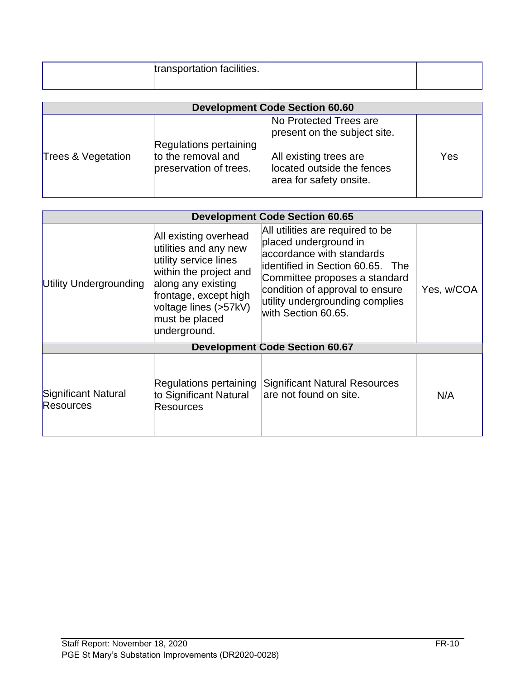| transportation facilities. |  |
|----------------------------|--|
|----------------------------|--|

|                    |                                                                        | <b>Development Code Section 60.60</b>                                           |     |
|--------------------|------------------------------------------------------------------------|---------------------------------------------------------------------------------|-----|
|                    |                                                                        | No Protected Trees are<br>present on the subject site.                          |     |
| Trees & Vegetation | Regulations pertaining<br>to the removal and<br>preservation of trees. | All existing trees are<br>located outside the fences<br>area for safety onsite. | Yes |

| <b>Development Code Section 60.65</b> |                                                                                                                                                                                                             |                                                                                                                                                                                                                                                          |            |
|---------------------------------------|-------------------------------------------------------------------------------------------------------------------------------------------------------------------------------------------------------------|----------------------------------------------------------------------------------------------------------------------------------------------------------------------------------------------------------------------------------------------------------|------------|
| Utility Undergrounding                | All existing overhead<br>utilities and any new<br>utility service lines<br>within the project and<br>along any existing<br>frontage, except high<br>voltage lines (>57kV)<br>must be placed<br>underground. | All utilities are required to be<br>placed underground in<br>accordance with standards<br>identified in Section 60.65. The<br>Committee proposes a standard<br>condition of approval to ensure<br>utility undergrounding complies<br>with Section 60.65. | Yes, w/COA |
|                                       |                                                                                                                                                                                                             | <b>Development Code Section 60.67</b>                                                                                                                                                                                                                    |            |
| Significant Natural<br>Resources      | Regulations pertaining<br>to Significant Natural<br>Resources                                                                                                                                               | <b>Significant Natural Resources</b><br>are not found on site.                                                                                                                                                                                           | N/A        |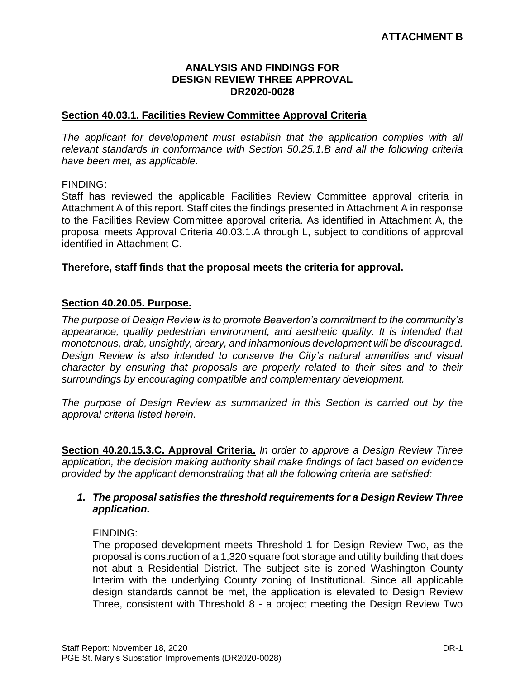#### **ANALYSIS AND FINDINGS FOR DESIGN REVIEW THREE APPROVAL DR2020-0028**

#### **Section 40.03.1. Facilities Review Committee Approval Criteria**

*The applicant for development must establish that the application complies with all relevant standards in conformance with Section 50.25.1.B and all the following criteria have been met, as applicable.* 

#### FINDING:

Staff has reviewed the applicable Facilities Review Committee approval criteria in Attachment A of this report. Staff cites the findings presented in Attachment A in response to the Facilities Review Committee approval criteria. As identified in Attachment A, the proposal meets Approval Criteria 40.03.1.A through L, subject to conditions of approval identified in Attachment C.

#### **Therefore, staff finds that the proposal meets the criteria for approval.**

#### **Section 40.20.05. Purpose.**

*The purpose of Design Review is to promote Beaverton's commitment to the community's appearance, quality pedestrian environment, and aesthetic quality. It is intended that monotonous, drab, unsightly, dreary, and inharmonious development will be discouraged. Design Review is also intended to conserve the City's natural amenities and visual character by ensuring that proposals are properly related to their sites and to their surroundings by encouraging compatible and complementary development.* 

*The purpose of Design Review as summarized in this Section is carried out by the approval criteria listed herein.*

**Section 40.20.15.3.C. Approval Criteria.** *In order to approve a Design Review Three application, the decision making authority shall make findings of fact based on evidence provided by the applicant demonstrating that all the following criteria are satisfied:*

#### *1. The proposal satisfies the threshold requirements for a Design Review Three application.*

#### FINDING:

The proposed development meets Threshold 1 for Design Review Two, as the proposal is construction of a 1,320 square foot storage and utility building that does not abut a Residential District. The subject site is zoned Washington County Interim with the underlying County zoning of Institutional. Since all applicable design standards cannot be met, the application is elevated to Design Review Three, consistent with Threshold 8 - a project meeting the Design Review Two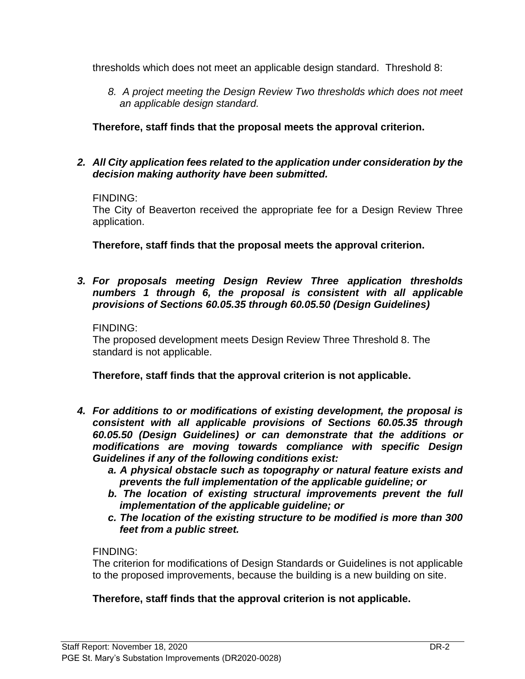thresholds which does not meet an applicable design standard. Threshold 8:

*8. A project meeting the Design Review Two thresholds which does not meet an applicable design standard.*

**Therefore, staff finds that the proposal meets the approval criterion.**

## *2. All City application fees related to the application under consideration by the decision making authority have been submitted.*

#### FINDING:

The City of Beaverton received the appropriate fee for a Design Review Three application.

**Therefore, staff finds that the proposal meets the approval criterion.**

*3. For proposals meeting Design Review Three application thresholds numbers 1 through 6, the proposal is consistent with all applicable provisions of Sections 60.05.35 through 60.05.50 (Design Guidelines)* 

#### FINDING:

The proposed development meets Design Review Three Threshold 8. The standard is not applicable.

**Therefore, staff finds that the approval criterion is not applicable.**

- *4. For additions to or modifications of existing development, the proposal is consistent with all applicable provisions of Sections 60.05.35 through 60.05.50 (Design Guidelines) or can demonstrate that the additions or modifications are moving towards compliance with specific Design Guidelines if any of the following conditions exist:* 
	- *a. A physical obstacle such as topography or natural feature exists and prevents the full implementation of the applicable guideline; or*
	- *b. The location of existing structural improvements prevent the full implementation of the applicable guideline; or*
	- *c. The location of the existing structure to be modified is more than 300 feet from a public street.*

## FINDING:

The criterion for modifications of Design Standards or Guidelines is not applicable to the proposed improvements, because the building is a new building on site.

## **Therefore, staff finds that the approval criterion is not applicable.**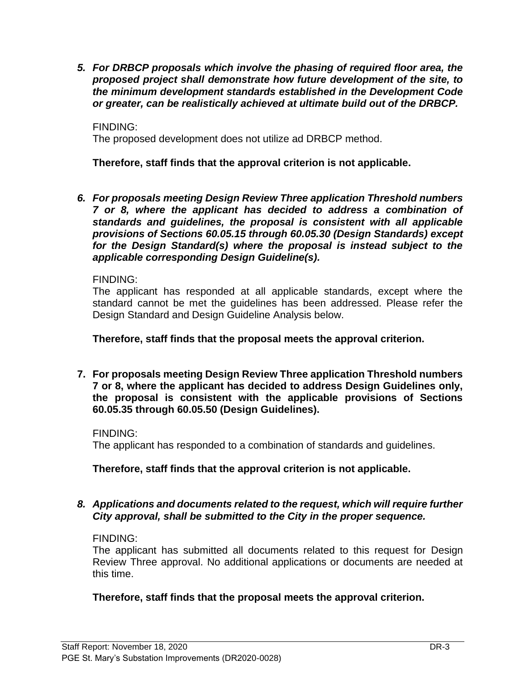*5. For DRBCP proposals which involve the phasing of required floor area, the proposed project shall demonstrate how future development of the site, to the minimum development standards established in the Development Code or greater, can be realistically achieved at ultimate build out of the DRBCP.*

FINDING: The proposed development does not utilize ad DRBCP method.

**Therefore, staff finds that the approval criterion is not applicable.**

*6. For proposals meeting Design Review Three application Threshold numbers 7 or 8, where the applicant has decided to address a combination of standards and guidelines, the proposal is consistent with all applicable provisions of Sections 60.05.15 through 60.05.30 (Design Standards) except for the Design Standard(s) where the proposal is instead subject to the applicable corresponding Design Guideline(s).* 

## FINDING:

The applicant has responded at all applicable standards, except where the standard cannot be met the guidelines has been addressed. Please refer the Design Standard and Design Guideline Analysis below.

## **Therefore, staff finds that the proposal meets the approval criterion.**

**7. For proposals meeting Design Review Three application Threshold numbers 7 or 8, where the applicant has decided to address Design Guidelines only, the proposal is consistent with the applicable provisions of Sections 60.05.35 through 60.05.50 (Design Guidelines).**

FINDING:

The applicant has responded to a combination of standards and guidelines.

**Therefore, staff finds that the approval criterion is not applicable.**

## *8. Applications and documents related to the request, which will require further City approval, shall be submitted to the City in the proper sequence.*

## FINDING:

The applicant has submitted all documents related to this request for Design Review Three approval. No additional applications or documents are needed at this time.

## **Therefore, staff finds that the proposal meets the approval criterion.**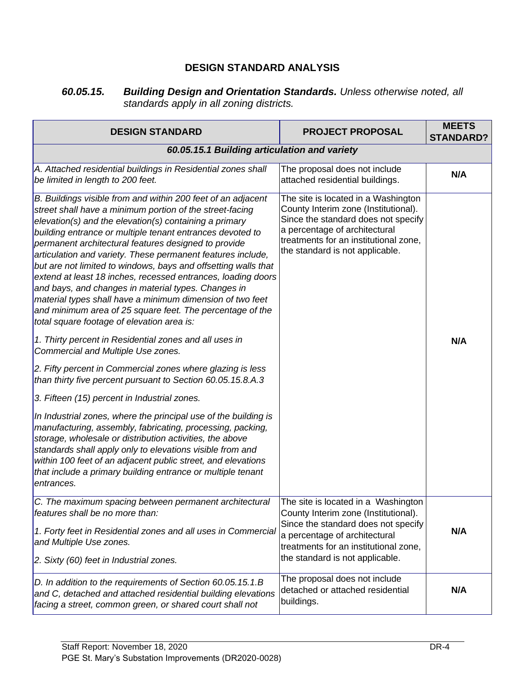## **DESIGN STANDARD ANALYSIS**

*60.05.15. Building Design and Orientation Standards. Unless otherwise noted, all standards apply in all zoning districts.*

| <b>DESIGN STANDARD</b>                                                                                                                                                                                                                                                                                                                                                                                                                                                                                                                                                                                                                                                                                                                                                                                                                                                                                                                                                                                                                                                                                                                                                                                                                                                            | <b>PROJECT PROPOSAL</b>                                                                                                                                                                                                         | <b>MEETS</b><br><b>STANDARD?</b> |  |
|-----------------------------------------------------------------------------------------------------------------------------------------------------------------------------------------------------------------------------------------------------------------------------------------------------------------------------------------------------------------------------------------------------------------------------------------------------------------------------------------------------------------------------------------------------------------------------------------------------------------------------------------------------------------------------------------------------------------------------------------------------------------------------------------------------------------------------------------------------------------------------------------------------------------------------------------------------------------------------------------------------------------------------------------------------------------------------------------------------------------------------------------------------------------------------------------------------------------------------------------------------------------------------------|---------------------------------------------------------------------------------------------------------------------------------------------------------------------------------------------------------------------------------|----------------------------------|--|
| 60.05.15.1 Building articulation and variety                                                                                                                                                                                                                                                                                                                                                                                                                                                                                                                                                                                                                                                                                                                                                                                                                                                                                                                                                                                                                                                                                                                                                                                                                                      |                                                                                                                                                                                                                                 |                                  |  |
| A. Attached residential buildings in Residential zones shall<br>be limited in length to 200 feet.                                                                                                                                                                                                                                                                                                                                                                                                                                                                                                                                                                                                                                                                                                                                                                                                                                                                                                                                                                                                                                                                                                                                                                                 | The proposal does not include<br>attached residential buildings.                                                                                                                                                                | N/A                              |  |
| B. Buildings visible from and within 200 feet of an adjacent<br>street shall have a minimum portion of the street-facing<br>$e$ levation(s) and the elevation(s) containing a primary<br>building entrance or multiple tenant entrances devoted to<br>permanent architectural features designed to provide<br>articulation and variety. These permanent features include,<br>but are not limited to windows, bays and offsetting walls that<br>extend at least 18 inches, recessed entrances, loading doors<br>and bays, and changes in material types. Changes in<br>material types shall have a minimum dimension of two feet<br>and minimum area of 25 square feet. The percentage of the<br>total square footage of elevation area is:<br>1. Thirty percent in Residential zones and all uses in<br>Commercial and Multiple Use zones.<br>2. Fifty percent in Commercial zones where glazing is less<br>than thirty five percent pursuant to Section 60.05.15.8.A.3<br>3. Fifteen (15) percent in Industrial zones.<br>In Industrial zones, where the principal use of the building is<br>manufacturing, assembly, fabricating, processing, packing,<br>storage, wholesale or distribution activities, the above<br>standards shall apply only to elevations visible from and | The site is located in a Washington<br>County Interim zone (Institutional).<br>Since the standard does not specify<br>a percentage of architectural<br>treatments for an institutional zone,<br>the standard is not applicable. | N/A                              |  |
| within 100 feet of an adjacent public street, and elevations<br>that include a primary building entrance or multiple tenant<br>entrances.                                                                                                                                                                                                                                                                                                                                                                                                                                                                                                                                                                                                                                                                                                                                                                                                                                                                                                                                                                                                                                                                                                                                         |                                                                                                                                                                                                                                 |                                  |  |
| C. The maximum spacing between permanent architectural The site is located in a Washington<br>features shall be no more than:<br>1. Forty feet in Residential zones and all uses in Commercial<br>and Multiple Use zones.                                                                                                                                                                                                                                                                                                                                                                                                                                                                                                                                                                                                                                                                                                                                                                                                                                                                                                                                                                                                                                                         | County Interim zone (Institutional).<br>Since the standard does not specify<br>a percentage of architectural<br>treatments for an institutional zone,                                                                           | N/A                              |  |
| 2. Sixty (60) feet in Industrial zones.                                                                                                                                                                                                                                                                                                                                                                                                                                                                                                                                                                                                                                                                                                                                                                                                                                                                                                                                                                                                                                                                                                                                                                                                                                           | the standard is not applicable.                                                                                                                                                                                                 |                                  |  |
| D. In addition to the requirements of Section 60.05.15.1.B<br>and C, detached and attached residential building elevations<br>facing a street, common green, or shared court shall not                                                                                                                                                                                                                                                                                                                                                                                                                                                                                                                                                                                                                                                                                                                                                                                                                                                                                                                                                                                                                                                                                            | The proposal does not include<br>detached or attached residential<br>buildings.                                                                                                                                                 | N/A                              |  |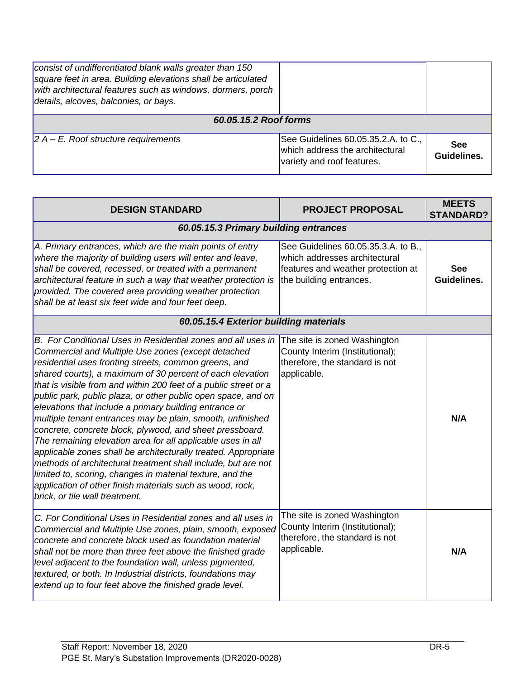| consist of undifferentiated blank walls greater than 150<br>square feet in area. Building elevations shall be articulated<br>with architectural features such as windows, dormers, porch<br>details, alcoves, balconies, or bays. |                                                                                                      |                           |  |
|-----------------------------------------------------------------------------------------------------------------------------------------------------------------------------------------------------------------------------------|------------------------------------------------------------------------------------------------------|---------------------------|--|
| 60.05.15.2 Roof forms                                                                                                                                                                                                             |                                                                                                      |                           |  |
| $ 2 A - E$ . Roof structure requirements                                                                                                                                                                                          | See Guidelines 60.05.35.2.A. to C.,<br>which address the architectural<br>variety and roof features. | <b>See</b><br>Guidelines. |  |

| <b>DESIGN STANDARD</b>                                                                                                                                                                                                                                                                                                                                                                                                                                                                                                                                                                                                                                                                                                                                                                                                                                                                                                          | <b>PROJECT PROPOSAL</b>                                                                                                               | <b>MEETS</b><br><b>STANDARD?</b> |
|---------------------------------------------------------------------------------------------------------------------------------------------------------------------------------------------------------------------------------------------------------------------------------------------------------------------------------------------------------------------------------------------------------------------------------------------------------------------------------------------------------------------------------------------------------------------------------------------------------------------------------------------------------------------------------------------------------------------------------------------------------------------------------------------------------------------------------------------------------------------------------------------------------------------------------|---------------------------------------------------------------------------------------------------------------------------------------|----------------------------------|
| 60.05.15.3 Primary building entrances                                                                                                                                                                                                                                                                                                                                                                                                                                                                                                                                                                                                                                                                                                                                                                                                                                                                                           |                                                                                                                                       |                                  |
| A. Primary entrances, which are the main points of entry<br>where the majority of building users will enter and leave,<br>shall be covered, recessed, or treated with a permanent<br>architectural feature in such a way that weather protection is<br>provided. The covered area providing weather protection<br>shall be at least six feet wide and four feet deep.                                                                                                                                                                                                                                                                                                                                                                                                                                                                                                                                                           | See Guidelines 60.05.35.3.A. to B.,<br>which addresses architectural<br>features and weather protection at<br>the building entrances. | <b>See</b><br>Guidelines.        |
| 60.05.15.4 Exterior building materials                                                                                                                                                                                                                                                                                                                                                                                                                                                                                                                                                                                                                                                                                                                                                                                                                                                                                          |                                                                                                                                       |                                  |
| B. For Conditional Uses in Residential zones and all uses in<br>Commercial and Multiple Use zones (except detached<br>residential uses fronting streets, common greens, and<br>shared courts), a maximum of 30 percent of each elevation<br>that is visible from and within 200 feet of a public street or a<br>public park, public plaza, or other public open space, and on<br>elevations that include a primary building entrance or<br>multiple tenant entrances may be plain, smooth, unfinished<br>concrete, concrete block, plywood, and sheet pressboard.<br>The remaining elevation area for all applicable uses in all<br>applicable zones shall be architecturally treated. Appropriate<br>methods of architectural treatment shall include, but are not<br>limited to, scoring, changes in material texture, and the<br>application of other finish materials such as wood, rock,<br>brick, or tile wall treatment. | The site is zoned Washington<br>County Interim (Institutional);<br>therefore, the standard is not<br>applicable.                      | N/A                              |
| C. For Conditional Uses in Residential zones and all uses in<br>Commercial and Multiple Use zones, plain, smooth, exposed<br>concrete and concrete block used as foundation material<br>shall not be more than three feet above the finished grade<br>level adjacent to the foundation wall, unless pigmented,<br>textured, or both. In Industrial districts, foundations may<br>extend up to four feet above the finished grade level.                                                                                                                                                                                                                                                                                                                                                                                                                                                                                         | The site is zoned Washington<br>County Interim (Institutional);<br>therefore, the standard is not<br>applicable.                      | N/A                              |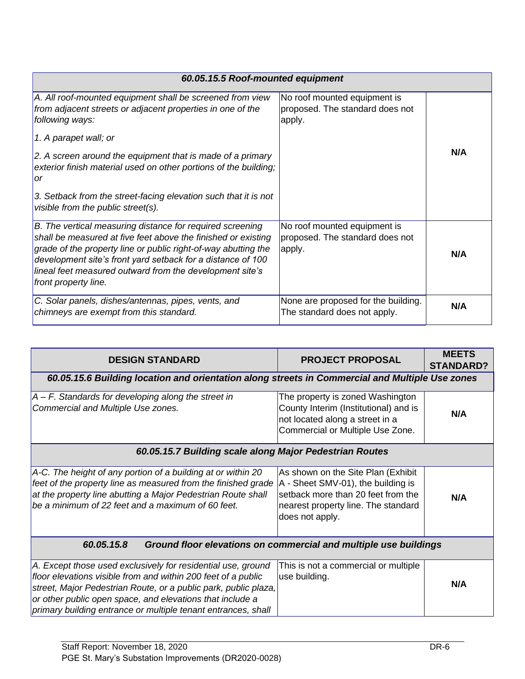| 60.05.15.5 Roof-mounted equipment                                                                                                                                                                                                                                                                                                               |                                                                           |     |
|-------------------------------------------------------------------------------------------------------------------------------------------------------------------------------------------------------------------------------------------------------------------------------------------------------------------------------------------------|---------------------------------------------------------------------------|-----|
| A. All roof-mounted equipment shall be screened from view<br>from adjacent streets or adjacent properties in one of the<br>following ways:                                                                                                                                                                                                      | No roof mounted equipment is<br>proposed. The standard does not<br>apply. |     |
| 1. A parapet wall; or                                                                                                                                                                                                                                                                                                                           |                                                                           |     |
| 2. A screen around the equipment that is made of a primary<br>exterior finish material used on other portions of the building;<br>or                                                                                                                                                                                                            |                                                                           | N/A |
| 3. Setback from the street-facing elevation such that it is not<br>visible from the public street(s).                                                                                                                                                                                                                                           |                                                                           |     |
| B. The vertical measuring distance for required screening<br>shall be measured at five feet above the finished or existing<br>grade of the property line or public right-of-way abutting the<br>development site's front yard setback for a distance of 100<br>lineal feet measured outward from the development site's<br>front property line. | No roof mounted equipment is<br>proposed. The standard does not<br>apply. | N/A |
| C. Solar panels, dishes/antennas, pipes, vents, and<br>chimneys are exempt from this standard.                                                                                                                                                                                                                                                  | None are proposed for the building.<br>The standard does not apply.       | N/A |

|                                                                                                                                                                                                                                                                                                                                |                                                                                                                                                                          | <b>MEETS</b>     |
|--------------------------------------------------------------------------------------------------------------------------------------------------------------------------------------------------------------------------------------------------------------------------------------------------------------------------------|--------------------------------------------------------------------------------------------------------------------------------------------------------------------------|------------------|
| <b>DESIGN STANDARD</b>                                                                                                                                                                                                                                                                                                         | <b>PROJECT PROPOSAL</b>                                                                                                                                                  | <b>STANDARD?</b> |
| 60.05.15.6 Building location and orientation along streets in Commercial and Multiple Use zones                                                                                                                                                                                                                                |                                                                                                                                                                          |                  |
| $ A - F$ . Standards for developing along the street in<br>Commercial and Multiple Use zones.                                                                                                                                                                                                                                  | The property is zoned Washington<br>County Interim (Institutional) and is<br>not located along a street in a<br>Commercial or Multiple Use Zone.                         | N/A              |
| 60.05.15.7 Building scale along Major Pedestrian Routes                                                                                                                                                                                                                                                                        |                                                                                                                                                                          |                  |
| A-C. The height of any portion of a building at or within 20<br>feet of the property line as measured from the finished grade<br>at the property line abutting a Major Pedestrian Route shall<br>be a minimum of 22 feet and a maximum of 60 feet.                                                                             | As shown on the Site Plan (Exhibit<br>A - Sheet SMV-01), the building is<br>setback more than 20 feet from the<br>nearest property line. The standard<br>does not apply. | N/A              |
| 60.05.15.8<br>Ground floor elevations on commercial and multiple use buildings                                                                                                                                                                                                                                                 |                                                                                                                                                                          |                  |
| A. Except those used exclusively for residential use, ground<br>floor elevations visible from and within 200 feet of a public<br>street, Major Pedestrian Route, or a public park, public plaza,<br>or other public open space, and elevations that include a<br>primary building entrance or multiple tenant entrances, shall | This is not a commercial or multiple<br>use building.                                                                                                                    | N/A              |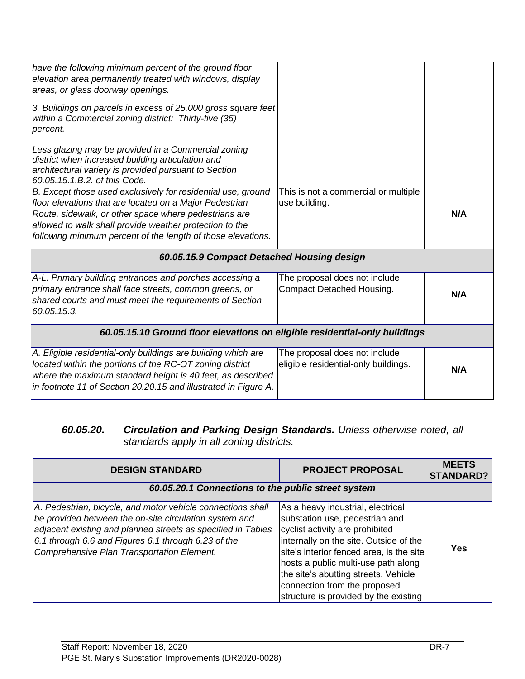| have the following minimum percent of the ground floor<br>elevation area permanently treated with windows, display<br>areas, or glass doorway openings.<br>3. Buildings on parcels in excess of 25,000 gross square feet<br>within a Commercial zoning district: Thirty-five (35)<br>percent.<br>Less glazing may be provided in a Commercial zoning<br>district when increased building articulation and<br>architectural variety is provided pursuant to Section |                                                                       |     |
|--------------------------------------------------------------------------------------------------------------------------------------------------------------------------------------------------------------------------------------------------------------------------------------------------------------------------------------------------------------------------------------------------------------------------------------------------------------------|-----------------------------------------------------------------------|-----|
| 60.05.15.1.B.2. of this Code.                                                                                                                                                                                                                                                                                                                                                                                                                                      |                                                                       |     |
| B. Except those used exclusively for residential use, ground<br>floor elevations that are located on a Major Pedestrian<br>Route, sidewalk, or other space where pedestrians are<br>allowed to walk shall provide weather protection to the<br>following minimum percent of the length of those elevations.                                                                                                                                                        | This is not a commercial or multiple<br>use building.                 | N/A |
| 60.05.15.9 Compact Detached Housing design                                                                                                                                                                                                                                                                                                                                                                                                                         |                                                                       |     |
| A-L. Primary building entrances and porches accessing a<br>primary entrance shall face streets, common greens, or<br>shared courts and must meet the requirements of Section<br>60.05.15.3.                                                                                                                                                                                                                                                                        | The proposal does not include<br>Compact Detached Housing.            | N/A |
| 60.05.15.10 Ground floor elevations on eligible residential-only buildings                                                                                                                                                                                                                                                                                                                                                                                         |                                                                       |     |
| A. Eligible residential-only buildings are building which are<br>located within the portions of the RC-OT zoning district<br>where the maximum standard height is 40 feet, as described<br>in footnote 11 of Section 20.20.15 and illustrated in Figure A.                                                                                                                                                                                                         | The proposal does not include<br>eligible residential-only buildings. | N/A |

#### *60.05.20. Circulation and Parking Design Standards. Unless otherwise noted, all standards apply in all zoning districts.*

| <b>DESIGN STANDARD</b>                                                                                                                                                                                                                                                                     | <b>PROJECT PROPOSAL</b>                                                                                                                                                                                                                                                                                                                              | <b>MEETS</b><br><b>STANDARD?</b> |
|--------------------------------------------------------------------------------------------------------------------------------------------------------------------------------------------------------------------------------------------------------------------------------------------|------------------------------------------------------------------------------------------------------------------------------------------------------------------------------------------------------------------------------------------------------------------------------------------------------------------------------------------------------|----------------------------------|
| 60.05.20.1 Connections to the public street system                                                                                                                                                                                                                                         |                                                                                                                                                                                                                                                                                                                                                      |                                  |
| A. Pedestrian, bicycle, and motor vehicle connections shall<br>be provided between the on-site circulation system and<br>adjacent existing and planned streets as specified in Tables<br>6.1 through 6.6 and Figures 6.1 through 6.23 of the<br>Comprehensive Plan Transportation Element. | As a heavy industrial, electrical<br>substation use, pedestrian and<br>cyclist activity are prohibited<br>internally on the site. Outside of the<br>site's interior fenced area, is the site<br>hosts a public multi-use path along<br>the site's abutting streets. Vehicle<br>connection from the proposed<br>structure is provided by the existing | Yes                              |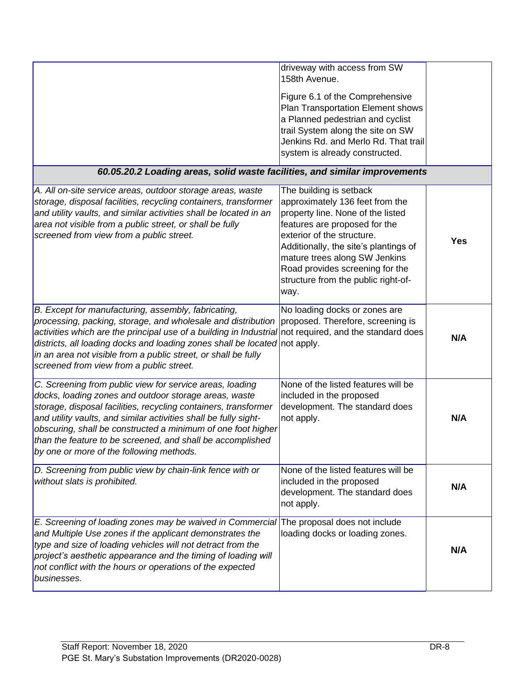| 60.05.20.2 Loading areas, solid waste facilities, and similar improvements                                                                                                                                                                                                                                                                                                                                                         | driveway with access from SW<br>158th Avenue.<br>Figure 6.1 of the Comprehensive<br>Plan Transportation Element shows<br>a Planned pedestrian and cyclist<br>trail System along the site on SW<br>Jenkins Rd. and Merlo Rd. That trail<br>system is already constructed.                                                   |            |
|------------------------------------------------------------------------------------------------------------------------------------------------------------------------------------------------------------------------------------------------------------------------------------------------------------------------------------------------------------------------------------------------------------------------------------|----------------------------------------------------------------------------------------------------------------------------------------------------------------------------------------------------------------------------------------------------------------------------------------------------------------------------|------------|
|                                                                                                                                                                                                                                                                                                                                                                                                                                    |                                                                                                                                                                                                                                                                                                                            |            |
| A. All on-site service areas, outdoor storage areas, waste<br>storage, disposal facilities, recycling containers, transformer<br>and utility vaults, and similar activities shall be located in an<br>area not visible from a public street, or shall be fully<br>screened from view from a public street.                                                                                                                         | The building is setback<br>approximately 136 feet from the<br>property line. None of the listed<br>features are proposed for the<br>exterior of the structure.<br>Additionally, the site's plantings of<br>mature trees along SW Jenkins<br>Road provides screening for the<br>structure from the public right-of-<br>way. | <b>Yes</b> |
| B. Except for manufacturing, assembly, fabricating,<br>processing, packing, storage, and wholesale and distribution<br>activities which are the principal use of a building in Industrial not required, and the standard does<br>districts, all loading docks and loading zones shall be located not apply.<br>in an area not visible from a public street, or shall be fully<br>screened from view from a public street.          | No loading docks or zones are<br>proposed. Therefore, screening is                                                                                                                                                                                                                                                         | N/A        |
| C. Screening from public view for service areas, loading<br>docks, loading zones and outdoor storage areas, waste<br>storage, disposal facilities, recycling containers, transformer<br>and utility vaults, and similar activities shall be fully sight-<br>obscuring, shall be constructed a minimum of one foot higher<br>than the feature to be screened, and shall be accomplished<br>by one or more of the following methods. | None of the listed features will be<br>included in the proposed<br>development. The standard does<br>not apply.                                                                                                                                                                                                            | N/A        |
| D. Screening from public view by chain-link fence with or<br>without slats is prohibited.                                                                                                                                                                                                                                                                                                                                          | None of the listed features will be<br>included in the proposed<br>development. The standard does<br>not apply.                                                                                                                                                                                                            | N/A        |
| E. Screening of loading zones may be waived in Commercial<br>and Multiple Use zones if the applicant demonstrates the<br>type and size of loading vehicles will not detract from the<br>project's aesthetic appearance and the timing of loading will<br>not conflict with the hours or operations of the expected<br>businesses.                                                                                                  | The proposal does not include<br>loading docks or loading zones.                                                                                                                                                                                                                                                           | N/A        |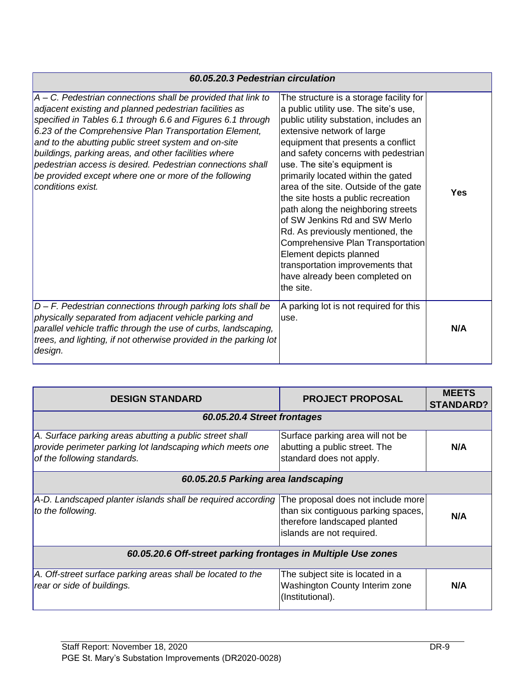| 60.05.20.3 Pedestrian circulation                                                                                                                                                                                                                                                                                                                                                                                                                                                                              |                                                                                                                                                                                                                                                                                                                                                                                                                                                                                                                                                                                                                                                           |     |
|----------------------------------------------------------------------------------------------------------------------------------------------------------------------------------------------------------------------------------------------------------------------------------------------------------------------------------------------------------------------------------------------------------------------------------------------------------------------------------------------------------------|-----------------------------------------------------------------------------------------------------------------------------------------------------------------------------------------------------------------------------------------------------------------------------------------------------------------------------------------------------------------------------------------------------------------------------------------------------------------------------------------------------------------------------------------------------------------------------------------------------------------------------------------------------------|-----|
| $A - C$ . Pedestrian connections shall be provided that link to<br>adjacent existing and planned pedestrian facilities as<br>specified in Tables 6.1 through 6.6 and Figures 6.1 through<br>6.23 of the Comprehensive Plan Transportation Element,<br>and to the abutting public street system and on-site<br>buildings, parking areas, and other facilities where<br>pedestrian access is desired. Pedestrian connections shall<br>be provided except where one or more of the following<br>conditions exist. | The structure is a storage facility for<br>a public utility use. The site's use,<br>public utility substation, includes an<br>extensive network of large<br>equipment that presents a conflict<br>and safety concerns with pedestrian<br>use. The site's equipment is<br>primarily located within the gated<br>area of the site. Outside of the gate<br>the site hosts a public recreation<br>path along the neighboring streets<br>of SW Jenkins Rd and SW Merlo<br>Rd. As previously mentioned, the<br>Comprehensive Plan Transportation<br>Element depicts planned<br>transportation improvements that<br>have already been completed on<br>lthe site. | Yes |
| D - F. Pedestrian connections through parking lots shall be<br>physically separated from adjacent vehicle parking and<br>parallel vehicle traffic through the use of curbs, landscaping,<br>trees, and lighting, if not otherwise provided in the parking lot<br>design.                                                                                                                                                                                                                                       | A parking lot is not required for this<br>use.                                                                                                                                                                                                                                                                                                                                                                                                                                                                                                                                                                                                            | N/A |

| <b>DESIGN STANDARD</b>                                                                                                                              | <b>PROJECT PROPOSAL</b>                                                                                                                | <b>MEETS</b><br><b>STANDARD?</b> |
|-----------------------------------------------------------------------------------------------------------------------------------------------------|----------------------------------------------------------------------------------------------------------------------------------------|----------------------------------|
| 60.05.20.4 Street frontages                                                                                                                         |                                                                                                                                        |                                  |
| A. Surface parking areas abutting a public street shall<br>provide perimeter parking lot landscaping which meets one<br>of the following standards. | Surface parking area will not be<br>abutting a public street. The<br>standard does not apply.                                          | N/A                              |
| 60.05.20.5 Parking area landscaping                                                                                                                 |                                                                                                                                        |                                  |
| A-D. Landscaped planter islands shall be required according<br>to the following.                                                                    | The proposal does not include more<br>than six contiguous parking spaces,<br>therefore landscaped planted<br>islands are not required. | N/A                              |
| 60.05.20.6 Off-street parking frontages in Multiple Use zones                                                                                       |                                                                                                                                        |                                  |
| A. Off-street surface parking areas shall be located to the<br>rear or side of buildings.                                                           | The subject site is located in a<br>Washington County Interim zone<br>(Institutional).                                                 | N/A                              |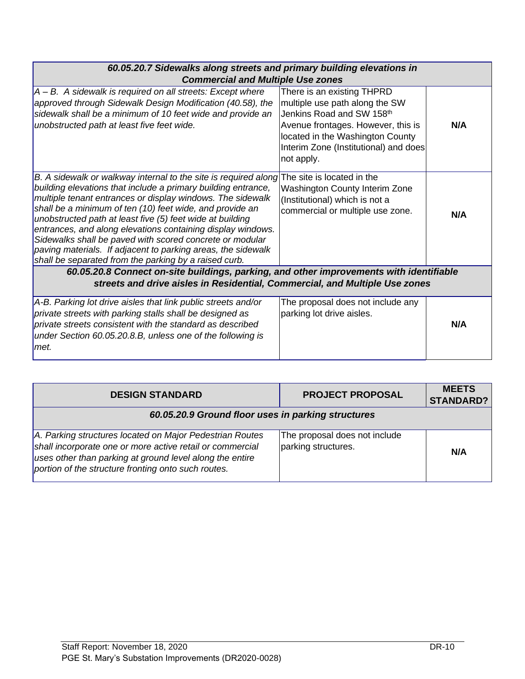| 60.05.20.7 Sidewalks along streets and primary building elevations in<br><b>Commercial and Multiple Use zones</b>                                                                                                                                                                                                                                                                                                                                                                                                                                                           |                                                                                                                                                                                                                            |     |
|-----------------------------------------------------------------------------------------------------------------------------------------------------------------------------------------------------------------------------------------------------------------------------------------------------------------------------------------------------------------------------------------------------------------------------------------------------------------------------------------------------------------------------------------------------------------------------|----------------------------------------------------------------------------------------------------------------------------------------------------------------------------------------------------------------------------|-----|
| A - B. A sidewalk is required on all streets: Except where<br>approved through Sidewalk Design Modification (40.58), the<br>sidewalk shall be a minimum of 10 feet wide and provide an<br>unobstructed path at least five feet wide.                                                                                                                                                                                                                                                                                                                                        | There is an existing THPRD<br>multiple use path along the SW<br>Jenkins Road and SW 158th<br>Avenue frontages. However, this is<br>located in the Washington County<br>Interim Zone (Institutional) and does<br>not apply. | N/A |
| B. A sidewalk or walkway internal to the site is required along<br>building elevations that include a primary building entrance,<br>multiple tenant entrances or display windows. The sidewalk<br>shall be a minimum of ten (10) feet wide, and provide an<br>unobstructed path at least five (5) feet wide at building<br>entrances, and along elevations containing display windows.<br>Sidewalks shall be paved with scored concrete or modular<br>paving materials. If adjacent to parking areas, the sidewalk<br>shall be separated from the parking by a raised curb. | The site is located in the<br>Washington County Interim Zone<br>(Institutional) which is not a<br>commercial or multiple use zone.                                                                                         | N/A |
| 60.05.20.8 Connect on-site buildings, parking, and other improvements with identifiable<br>streets and drive aisles in Residential, Commercial, and Multiple Use zones                                                                                                                                                                                                                                                                                                                                                                                                      |                                                                                                                                                                                                                            |     |
| A-B. Parking lot drive aisles that link public streets and/or<br>private streets with parking stalls shall be designed as<br>private streets consistent with the standard as described<br>under Section 60.05.20.8.B, unless one of the following is<br>met.                                                                                                                                                                                                                                                                                                                | The proposal does not include any<br>parking lot drive aisles.                                                                                                                                                             | N/A |

| <b>DESIGN STANDARD</b>                                                                                                                                                                                                                   | <b>PROJECT PROPOSAL</b>                              | <b>MEETS</b><br><b>STANDARD?</b> |
|------------------------------------------------------------------------------------------------------------------------------------------------------------------------------------------------------------------------------------------|------------------------------------------------------|----------------------------------|
| 60.05.20.9 Ground floor uses in parking structures                                                                                                                                                                                       |                                                      |                                  |
| A. Parking structures located on Major Pedestrian Routes<br>shall incorporate one or more active retail or commercial<br>uses other than parking at ground level along the entire<br>portion of the structure fronting onto such routes. | The proposal does not include<br>parking structures. | N/A                              |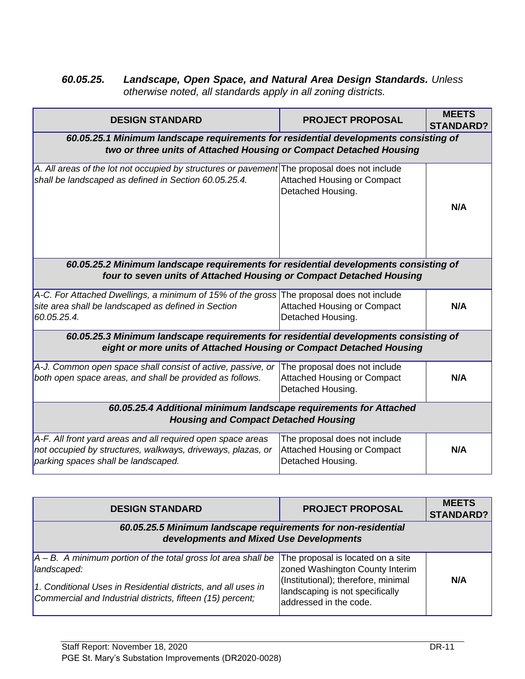## *60.05.25. Landscape, Open Space, and Natural Area Design Standards. Unless otherwise noted, all standards apply in all zoning districts.*

| <b>DESIGN STANDARD</b>                                                                                                                                            | <b>PROJECT PROPOSAL</b>                                                                  | <b>MEETS</b><br><b>STANDARD?</b> |
|-------------------------------------------------------------------------------------------------------------------------------------------------------------------|------------------------------------------------------------------------------------------|----------------------------------|
| 60.05.25.1 Minimum landscape requirements for residential developments consisting of<br>two or three units of Attached Housing or Compact Detached Housing        |                                                                                          |                                  |
| A. All areas of the lot not occupied by structures or pavement The proposal does not include<br>shall be landscaped as defined in Section 60.05.25.4.             | <b>Attached Housing or Compact</b><br>Detached Housing.                                  | N/A                              |
| 60.05.25.2 Minimum landscape requirements for residential developments consisting of<br>four to seven units of Attached Housing or Compact Detached Housing       |                                                                                          |                                  |
| A-C. For Attached Dwellings, a minimum of 15% of the gross The proposal does not include<br>site area shall be landscaped as defined in Section<br>60.05.25.4.    | <b>Attached Housing or Compact</b><br>Detached Housing.                                  | N/A                              |
| 60.05.25.3 Minimum landscape requirements for residential developments consisting of<br>eight or more units of Attached Housing or Compact Detached Housing       |                                                                                          |                                  |
| A-J. Common open space shall consist of active, passive, or<br>both open space areas, and shall be provided as follows.                                           | The proposal does not include<br><b>Attached Housing or Compact</b><br>Detached Housing. | N/A                              |
| 60.05.25.4 Additional minimum landscape requirements for Attached<br><b>Housing and Compact Detached Housing</b>                                                  |                                                                                          |                                  |
| A-F. All front yard areas and all required open space areas<br>not occupied by structures, walkways, driveways, plazas, or<br>parking spaces shall be landscaped. | The proposal does not include<br><b>Attached Housing or Compact</b><br>Detached Housing. | N/A                              |
|                                                                                                                                                                   |                                                                                          | <b>MEETS</b>                     |
| <b>DESIGN STANDARD</b>                                                                                                                                            | <b>PROJECT PROPOSAL</b>                                                                  | <b>CTANDADD?</b>                 |

| <b>ULSIGN STANDARD</b>                                                                                                                                                                                          | PROJECT PROPOSAL                                                                                                                                                          | <b>STANDARD?</b> |
|-----------------------------------------------------------------------------------------------------------------------------------------------------------------------------------------------------------------|---------------------------------------------------------------------------------------------------------------------------------------------------------------------------|------------------|
| 60.05.25.5 Minimum landscape requirements for non-residential<br>developments and Mixed Use Developments                                                                                                        |                                                                                                                                                                           |                  |
| $ A - B$ . A minimum portion of the total gross lot area shall be<br>landscaped:<br>1. Conditional Uses in Residential districts, and all uses in<br>Commercial and Industrial districts, fifteen (15) percent; | The proposal is located on a site<br>zoned Washington County Interim<br>(Institutional); therefore, minimal<br>landscaping is not specifically<br>laddressed in the code. | N/A              |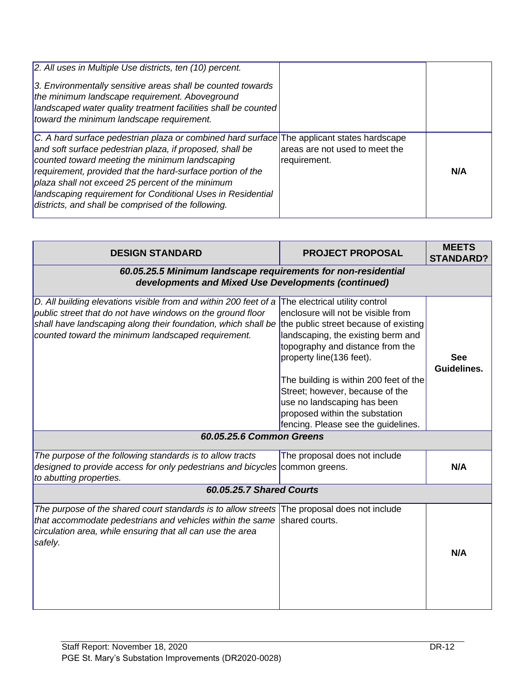| 2. All uses in Multiple Use districts, ten (10) percent.<br>3. Environmentally sensitive areas shall be counted towards<br>the minimum landscape requirement. Aboveground<br> landscaped water quality treatment facilities shall be counted<br>toward the minimum landscape requirement.                                                                                                                                                        |                                                |     |
|--------------------------------------------------------------------------------------------------------------------------------------------------------------------------------------------------------------------------------------------------------------------------------------------------------------------------------------------------------------------------------------------------------------------------------------------------|------------------------------------------------|-----|
| C. A hard surface pedestrian plaza or combined hard surface The applicant states hardscape<br>and soft surface pedestrian plaza, if proposed, shall be<br>counted toward meeting the minimum landscaping<br>requirement, provided that the hard-surface portion of the<br>plaza shall not exceed 25 percent of the minimum<br>landscaping requirement for Conditional Uses in Residential<br>districts, and shall be comprised of the following. | areas are not used to meet the<br>requirement. | N/A |

| <b>DESIGN STANDARD</b>                                                                                                                                                                                                                                | <b>PROJECT PROPOSAL</b>                                                                                                                                                                                                                                                                                                                                                                                  | <b>MEETS</b><br><b>STANDARD?</b> |  |
|-------------------------------------------------------------------------------------------------------------------------------------------------------------------------------------------------------------------------------------------------------|----------------------------------------------------------------------------------------------------------------------------------------------------------------------------------------------------------------------------------------------------------------------------------------------------------------------------------------------------------------------------------------------------------|----------------------------------|--|
| 60.05.25.5 Minimum landscape requirements for non-residential<br>developments and Mixed Use Developments (continued)                                                                                                                                  |                                                                                                                                                                                                                                                                                                                                                                                                          |                                  |  |
| D. All building elevations visible from and within 200 feet of a<br>public street that do not have windows on the ground floor<br>shall have landscaping along their foundation, which shall be<br>counted toward the minimum landscaped requirement. | The electrical utility control<br>enclosure will not be visible from<br>the public street because of existing<br>landscaping, the existing berm and<br>topography and distance from the<br>property line(136 feet).<br>The building is within 200 feet of the<br>Street; however, because of the<br>use no landscaping has been<br>proposed within the substation<br>fencing. Please see the guidelines. | <b>See</b><br>Guidelines.        |  |
| 60.05.25.6 Common Greens                                                                                                                                                                                                                              |                                                                                                                                                                                                                                                                                                                                                                                                          |                                  |  |
| The purpose of the following standards is to allow tracts<br>designed to provide access for only pedestrians and bicycles common greens.<br>to abutting properties.                                                                                   | The proposal does not include                                                                                                                                                                                                                                                                                                                                                                            | N/A                              |  |
|                                                                                                                                                                                                                                                       | 60.05.25.7 Shared Courts                                                                                                                                                                                                                                                                                                                                                                                 |                                  |  |
| The purpose of the shared court standards is to allow streets The proposal does not include<br>that accommodate pedestrians and vehicles within the same<br>circulation area, while ensuring that all can use the area<br>safely.                     | shared courts.                                                                                                                                                                                                                                                                                                                                                                                           | N/A                              |  |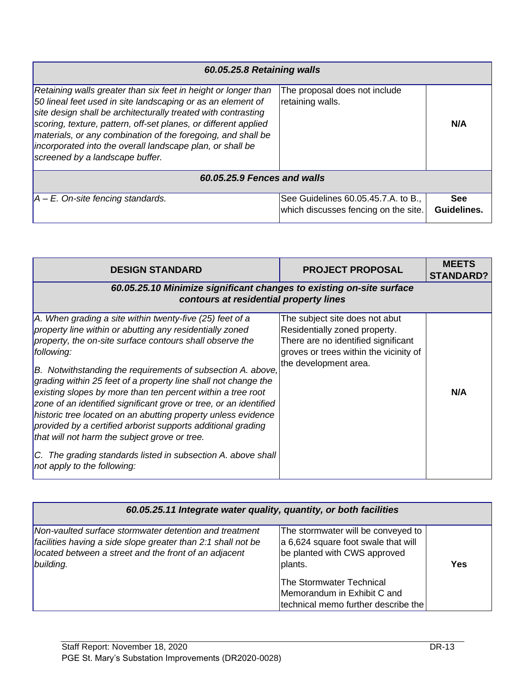| 60.05.25.8 Retaining walls                                                                                                                                                                                                                                                                                                                                                                                                        |                                                                             |                           |
|-----------------------------------------------------------------------------------------------------------------------------------------------------------------------------------------------------------------------------------------------------------------------------------------------------------------------------------------------------------------------------------------------------------------------------------|-----------------------------------------------------------------------------|---------------------------|
| Retaining walls greater than six feet in height or longer than<br>50 lineal feet used in site landscaping or as an element of<br>site design shall be architecturally treated with contrasting<br>scoring, texture, pattern, off-set planes, or different applied<br>materials, or any combination of the foregoing, and shall be<br>incorporated into the overall landscape plan, or shall be<br>screened by a landscape buffer. | The proposal does not include<br>retaining walls.                           | N/A                       |
| 60.05.25.9 Fences and walls                                                                                                                                                                                                                                                                                                                                                                                                       |                                                                             |                           |
| $ A - E$ . On-site fencing standards.                                                                                                                                                                                                                                                                                                                                                                                             | See Guidelines 60.05.45.7.A. to B.,<br>which discusses fencing on the site. | <b>See</b><br>Guidelines. |

| <b>DESIGN STANDARD</b>                                                                                                                                                                                                                                                                                                                                                                                                                                                                                                                                                                                                                                                                                                                               | <b>PROJECT PROPOSAL</b>                                                                                                                                                   | <b>MEETS</b><br><b>STANDARD?</b> |  |
|------------------------------------------------------------------------------------------------------------------------------------------------------------------------------------------------------------------------------------------------------------------------------------------------------------------------------------------------------------------------------------------------------------------------------------------------------------------------------------------------------------------------------------------------------------------------------------------------------------------------------------------------------------------------------------------------------------------------------------------------------|---------------------------------------------------------------------------------------------------------------------------------------------------------------------------|----------------------------------|--|
|                                                                                                                                                                                                                                                                                                                                                                                                                                                                                                                                                                                                                                                                                                                                                      | 60.05.25.10 Minimize significant changes to existing on-site surface<br>contours at residential property lines                                                            |                                  |  |
| A. When grading a site within twenty-five (25) feet of a<br>property line within or abutting any residentially zoned<br>property, the on-site surface contours shall observe the<br>following:<br>B. Notwithstanding the requirements of subsection A. above,<br>grading within 25 feet of a property line shall not change the<br>existing slopes by more than ten percent within a tree root<br>zone of an identified significant grove or tree, or an identified<br>historic tree located on an abutting property unless evidence<br>provided by a certified arborist supports additional grading<br>that will not harm the subject grove or tree.<br>C. The grading standards listed in subsection A. above shall<br>not apply to the following: | The subject site does not abut<br>Residentially zoned property.<br>There are no identified significant<br>groves or trees within the vicinity of<br>the development area. | N/A                              |  |

| 60.05.25.11 Integrate water quality, quantity, or both facilities                                                                                                                            |                                                                                                                                                                                                                        |     |
|----------------------------------------------------------------------------------------------------------------------------------------------------------------------------------------------|------------------------------------------------------------------------------------------------------------------------------------------------------------------------------------------------------------------------|-----|
| Non-vaulted surface stormwater detention and treatment<br>facilities having a side slope greater than 2:1 shall not be<br>located between a street and the front of an adjacent<br>building. | The stormwater will be conveyed to<br>a 6,624 square foot swale that will<br>be planted with CWS approved<br>plants.<br>The Stormwater Technical<br>Memorandum in Exhibit C and<br>technical memo further describe the | Yes |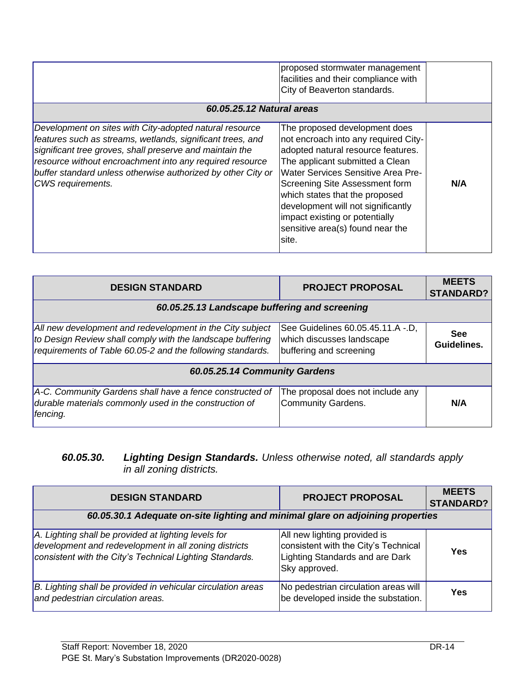| 60.05.25.12 Natural areas                                                                                                                                                                                                                                                                                                          | proposed stormwater management<br>facilities and their compliance with<br>City of Beaverton standards.                                                                                                                                                                                                                                                                        |     |
|------------------------------------------------------------------------------------------------------------------------------------------------------------------------------------------------------------------------------------------------------------------------------------------------------------------------------------|-------------------------------------------------------------------------------------------------------------------------------------------------------------------------------------------------------------------------------------------------------------------------------------------------------------------------------------------------------------------------------|-----|
| Development on sites with City-adopted natural resource<br>features such as streams, wetlands, significant trees, and<br>significant tree groves, shall preserve and maintain the<br>resource without encroachment into any required resource<br>buffer standard unless otherwise authorized by other City or<br>CWS requirements. | The proposed development does<br>not encroach into any required City-<br>adopted natural resource features.<br>The applicant submitted a Clean<br>Water Services Sensitive Area Pre-<br>Screening Site Assessment form<br>which states that the proposed<br>development will not significantly<br>impact existing or potentially<br>sensitive area(s) found near the<br>site. | N/A |

| <b>DESIGN STANDARD</b>                                                                                                                                                                | <b>PROJECT PROPOSAL</b>                                                                   | <b>MEETS</b><br><b>STANDARD?</b> |
|---------------------------------------------------------------------------------------------------------------------------------------------------------------------------------------|-------------------------------------------------------------------------------------------|----------------------------------|
| 60.05.25.13 Landscape buffering and screening                                                                                                                                         |                                                                                           |                                  |
| All new development and redevelopment in the City subject<br>to Design Review shall comply with the landscape buffering<br>requirements of Table 60.05-2 and the following standards. | See Guidelines 60.05.45.11.A -.D,<br>which discusses landscape<br>buffering and screening | <b>See</b><br>Guidelines.        |
| 60.05.25.14 Community Gardens                                                                                                                                                         |                                                                                           |                                  |
| A-C. Community Gardens shall have a fence constructed of<br>durable materials commonly used in the construction of<br>fencing.                                                        | The proposal does not include any<br><b>Community Gardens.</b>                            | N/A                              |

#### *60.05.30. Lighting Design Standards. Unless otherwise noted, all standards apply in all zoning districts.*

| <b>DESIGN STANDARD</b>                                                                                                                                                    | <b>PROJECT PROPOSAL</b>                                                                                                  | <b>MEETS</b><br><b>STANDARD?</b> |
|---------------------------------------------------------------------------------------------------------------------------------------------------------------------------|--------------------------------------------------------------------------------------------------------------------------|----------------------------------|
| 60.05.30.1 Adequate on-site lighting and minimal glare on adjoining properties                                                                                            |                                                                                                                          |                                  |
| A. Lighting shall be provided at lighting levels for<br>development and redevelopment in all zoning districts<br>consistent with the City's Technical Lighting Standards. | All new lighting provided is<br>consistent with the City's Technical<br>Lighting Standards and are Dark<br>Sky approved. | Yes                              |
| B. Lighting shall be provided in vehicular circulation areas<br>and pedestrian circulation areas.                                                                         | No pedestrian circulation areas will<br>be developed inside the substation.                                              | Yes                              |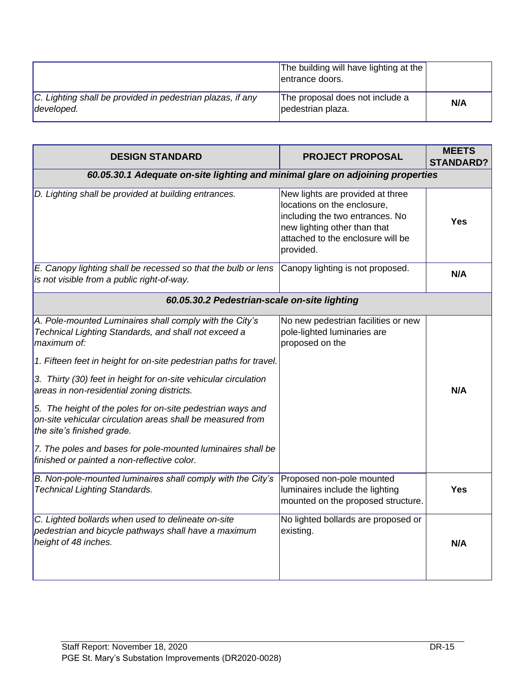|                                                                          | The building will have lighting at the<br>entrance doors. |     |
|--------------------------------------------------------------------------|-----------------------------------------------------------|-----|
| C. Lighting shall be provided in pedestrian plazas, if any<br>developed. | The proposal does not include a<br>pedestrian plaza.      | N/A |

| <b>DESIGN STANDARD</b>                                                                                                                                                                                                                                                                                                                                                                                                                                                                                                                                                                        | <b>PROJECT PROPOSAL</b>                                                                                                                                                              | <b>MEETS</b><br><b>STANDARD?</b> |
|-----------------------------------------------------------------------------------------------------------------------------------------------------------------------------------------------------------------------------------------------------------------------------------------------------------------------------------------------------------------------------------------------------------------------------------------------------------------------------------------------------------------------------------------------------------------------------------------------|--------------------------------------------------------------------------------------------------------------------------------------------------------------------------------------|----------------------------------|
| 60.05.30.1 Adequate on-site lighting and minimal glare on adjoining properties                                                                                                                                                                                                                                                                                                                                                                                                                                                                                                                |                                                                                                                                                                                      |                                  |
| D. Lighting shall be provided at building entrances.                                                                                                                                                                                                                                                                                                                                                                                                                                                                                                                                          | New lights are provided at three<br>locations on the enclosure,<br>including the two entrances. No<br>new lighting other than that<br>attached to the enclosure will be<br>provided. | Yes                              |
| E. Canopy lighting shall be recessed so that the bulb or lens<br>is not visible from a public right-of-way.                                                                                                                                                                                                                                                                                                                                                                                                                                                                                   | Canopy lighting is not proposed.                                                                                                                                                     | N/A                              |
| 60.05.30.2 Pedestrian-scale on-site lighting                                                                                                                                                                                                                                                                                                                                                                                                                                                                                                                                                  |                                                                                                                                                                                      |                                  |
| A. Pole-mounted Luminaires shall comply with the City's<br>Technical Lighting Standards, and shall not exceed a<br>maximum of:<br>1. Fifteen feet in height for on-site pedestrian paths for travel.<br>3. Thirty (30) feet in height for on-site vehicular circulation<br>areas in non-residential zoning districts.<br>5. The height of the poles for on-site pedestrian ways and<br>on-site vehicular circulation areas shall be measured from<br>the site's finished grade.<br>7. The poles and bases for pole-mounted luminaires shall be<br>finished or painted a non-reflective color. | No new pedestrian facilities or new<br>pole-lighted luminaries are<br>proposed on the                                                                                                | N/A                              |
| B. Non-pole-mounted luminaires shall comply with the City's<br><b>Technical Lighting Standards.</b>                                                                                                                                                                                                                                                                                                                                                                                                                                                                                           | Proposed non-pole mounted<br>luminaires include the lighting<br>mounted on the proposed structure.                                                                                   | Yes                              |
| C. Lighted bollards when used to delineate on-site<br>pedestrian and bicycle pathways shall have a maximum<br>height of 48 inches.                                                                                                                                                                                                                                                                                                                                                                                                                                                            | No lighted bollards are proposed or<br>existing.                                                                                                                                     | N/A                              |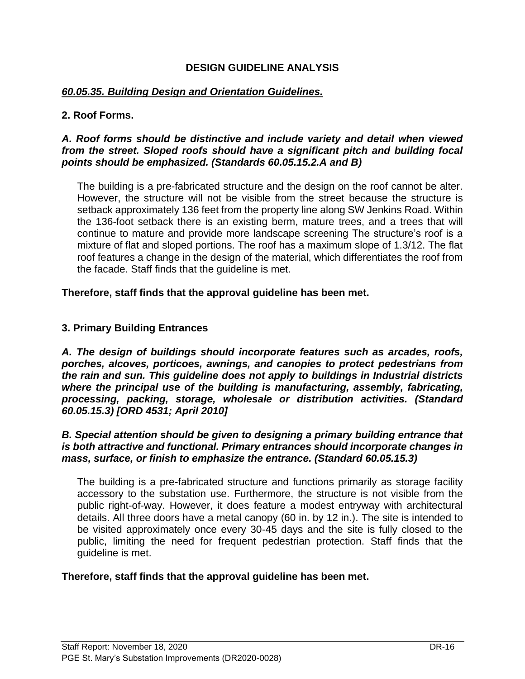#### **DESIGN GUIDELINE ANALYSIS**

#### *60.05.35. Building Design and Orientation Guidelines.*

#### **2. Roof Forms.**

#### *A. Roof forms should be distinctive and include variety and detail when viewed from the street. Sloped roofs should have a significant pitch and building focal points should be emphasized. (Standards 60.05.15.2.A and B)*

The building is a pre-fabricated structure and the design on the roof cannot be alter. However, the structure will not be visible from the street because the structure is setback approximately 136 feet from the property line along SW Jenkins Road. Within the 136-foot setback there is an existing berm, mature trees, and a trees that will continue to mature and provide more landscape screening The structure's roof is a mixture of flat and sloped portions. The roof has a maximum slope of 1.3/12. The flat roof features a change in the design of the material, which differentiates the roof from the facade. Staff finds that the guideline is met.

**Therefore, staff finds that the approval guideline has been met.** 

#### **3. Primary Building Entrances**

*A. The design of buildings should incorporate features such as arcades, roofs, porches, alcoves, porticoes, awnings, and canopies to protect pedestrians from the rain and sun. This guideline does not apply to buildings in Industrial districts where the principal use of the building is manufacturing, assembly, fabricating, processing, packing, storage, wholesale or distribution activities. (Standard 60.05.15.3) [ORD 4531; April 2010]*

#### *B. Special attention should be given to designing a primary building entrance that is both attractive and functional. Primary entrances should incorporate changes in mass, surface, or finish to emphasize the entrance. (Standard 60.05.15.3)*

The building is a pre-fabricated structure and functions primarily as storage facility accessory to the substation use. Furthermore, the structure is not visible from the public right-of-way. However, it does feature a modest entryway with architectural details. All three doors have a metal canopy (60 in. by 12 in.). The site is intended to be visited approximately once every 30-45 days and the site is fully closed to the public, limiting the need for frequent pedestrian protection. Staff finds that the guideline is met.

#### **Therefore, staff finds that the approval guideline has been met.**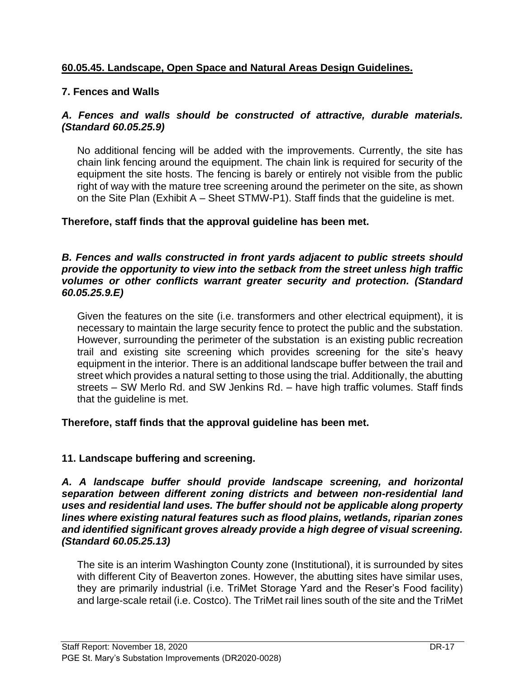## **60.05.45. Landscape, Open Space and Natural Areas Design Guidelines.**

## **7. Fences and Walls**

#### *A. Fences and walls should be constructed of attractive, durable materials. (Standard 60.05.25.9)*

No additional fencing will be added with the improvements. Currently, the site has chain link fencing around the equipment. The chain link is required for security of the equipment the site hosts. The fencing is barely or entirely not visible from the public right of way with the mature tree screening around the perimeter on the site, as shown on the Site Plan (Exhibit A – Sheet STMW-P1). Staff finds that the guideline is met.

#### **Therefore, staff finds that the approval guideline has been met.**

#### *B. Fences and walls constructed in front yards adjacent to public streets should provide the opportunity to view into the setback from the street unless high traffic volumes or other conflicts warrant greater security and protection. (Standard 60.05.25.9.E)*

Given the features on the site (i.e. transformers and other electrical equipment), it is necessary to maintain the large security fence to protect the public and the substation. However, surrounding the perimeter of the substation is an existing public recreation trail and existing site screening which provides screening for the site's heavy equipment in the interior. There is an additional landscape buffer between the trail and street which provides a natural setting to those using the trial. Additionally, the abutting streets – SW Merlo Rd. and SW Jenkins Rd. – have high traffic volumes. Staff finds that the guideline is met.

#### **Therefore, staff finds that the approval guideline has been met.**

## **11. Landscape buffering and screening.**

*A. A landscape buffer should provide landscape screening, and horizontal separation between different zoning districts and between non-residential land uses and residential land uses. The buffer should not be applicable along property lines where existing natural features such as flood plains, wetlands, riparian zones and identified significant groves already provide a high degree of visual screening. (Standard 60.05.25.13)*

The site is an interim Washington County zone (Institutional), it is surrounded by sites with different City of Beaverton zones. However, the abutting sites have similar uses, they are primarily industrial (i.e. TriMet Storage Yard and the Reser's Food facility) and large-scale retail (i.e. Costco). The TriMet rail lines south of the site and the TriMet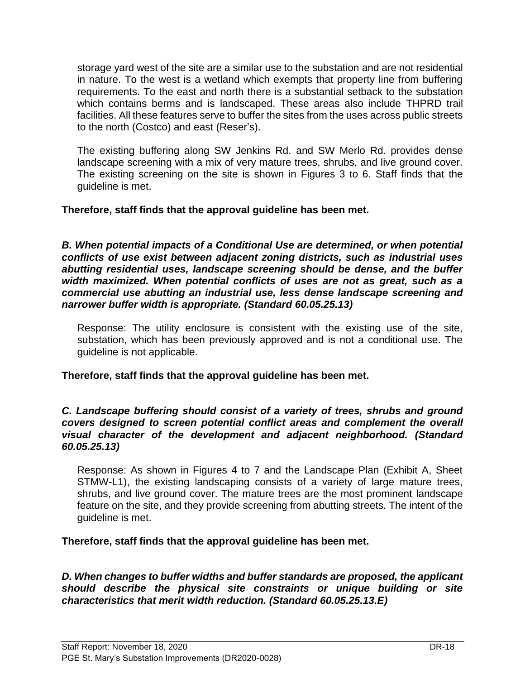storage yard west of the site are a similar use to the substation and are not residential in nature. To the west is a wetland which exempts that property line from buffering requirements. To the east and north there is a substantial setback to the substation which contains berms and is landscaped. These areas also include THPRD trail facilities. All these features serve to buffer the sites from the uses across public streets to the north (Costco) and east (Reser's).

The existing buffering along SW Jenkins Rd. and SW Merlo Rd. provides dense landscape screening with a mix of very mature trees, shrubs, and live ground cover. The existing screening on the site is shown in Figures 3 to 6. Staff finds that the guideline is met.

**Therefore, staff finds that the approval guideline has been met.** 

**B.** When potential impacts of a Conditional Use are determined, or when potential *conflicts of use exist between adjacent zoning districts, such as industrial uses abutting residential uses, landscape screening should be dense, and the buffer width maximized. When potential conflicts of uses are not as great, such as a commercial use abutting an industrial use, less dense landscape screening and narrower buffer width is appropriate. (Standard 60.05.25.13)*

Response: The utility enclosure is consistent with the existing use of the site, substation, which has been previously approved and is not a conditional use. The guideline is not applicable.

**Therefore, staff finds that the approval guideline has been met.**

#### *C. Landscape buffering should consist of a variety of trees, shrubs and ground covers designed to screen potential conflict areas and complement the overall visual character of the development and adjacent neighborhood. (Standard 60.05.25.13)*

Response: As shown in Figures 4 to 7 and the Landscape Plan (Exhibit A, Sheet STMW-L1), the existing landscaping consists of a variety of large mature trees, shrubs, and live ground cover. The mature trees are the most prominent landscape feature on the site, and they provide screening from abutting streets. The intent of the guideline is met.

**Therefore, staff finds that the approval guideline has been met.** 

*D. When changes to buffer widths and buffer standards are proposed, the applicant should describe the physical site constraints or unique building or site characteristics that merit width reduction. (Standard 60.05.25.13.E)*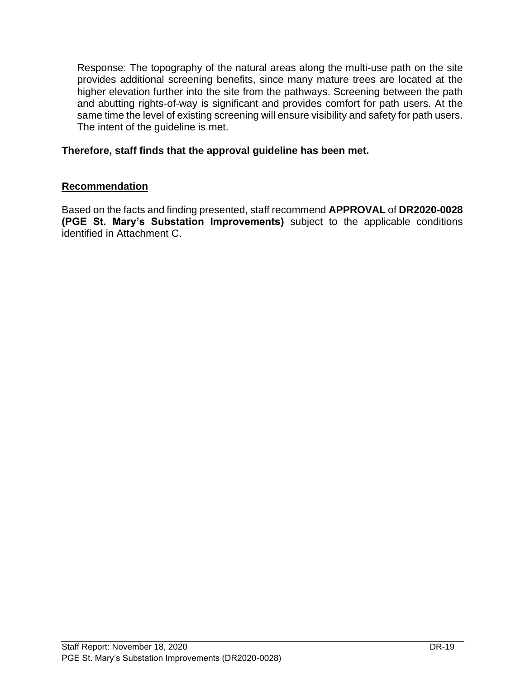Response: The topography of the natural areas along the multi-use path on the site provides additional screening benefits, since many mature trees are located at the higher elevation further into the site from the pathways. Screening between the path and abutting rights-of-way is significant and provides comfort for path users. At the same time the level of existing screening will ensure visibility and safety for path users. The intent of the guideline is met.

#### **Therefore, staff finds that the approval guideline has been met.**

#### **Recommendation**

Based on the facts and finding presented, staff recommend **APPROVAL** of **DR2020-0028 (PGE St. Mary's Substation Improvements)** subject to the applicable conditions identified in Attachment C.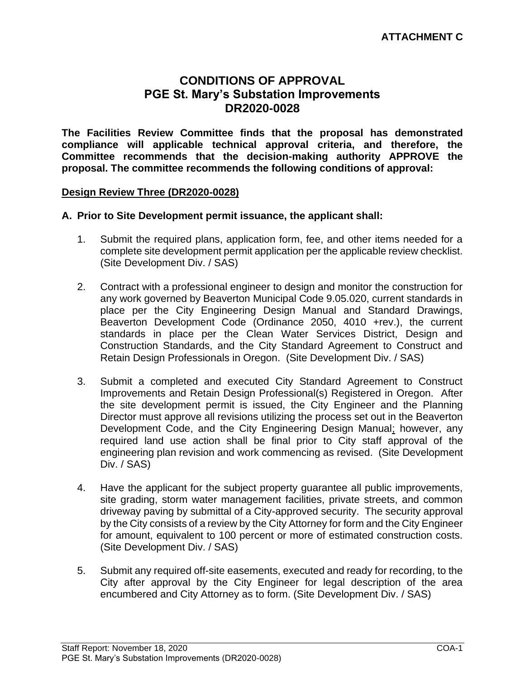## **CONDITIONS OF APPROVAL PGE St. Mary's Substation Improvements DR2020-0028**

**The Facilities Review Committee finds that the proposal has demonstrated compliance will applicable technical approval criteria, and therefore, the Committee recommends that the decision-making authority APPROVE the proposal. The committee recommends the following conditions of approval:** 

#### **Design Review Three (DR2020-0028)**

#### **A. Prior to Site Development permit issuance, the applicant shall:**

- 1. Submit the required plans, application form, fee, and other items needed for a complete site development permit application per the applicable review checklist. (Site Development Div. / SAS)
- 2. Contract with a professional engineer to design and monitor the construction for any work governed by Beaverton Municipal Code 9.05.020, current standards in place per the City Engineering Design Manual and Standard Drawings, Beaverton Development Code (Ordinance 2050, 4010 +rev.), the current standards in place per the Clean Water Services District, Design and Construction Standards, and the City Standard Agreement to Construct and Retain Design Professionals in Oregon. (Site Development Div. / SAS)
- 3. Submit a completed and executed City Standard Agreement to Construct Improvements and Retain Design Professional(s) Registered in Oregon. After the site development permit is issued, the City Engineer and the Planning Director must approve all revisions utilizing the process set out in the Beaverton Development Code, and the City Engineering Design Manual; however, any required land use action shall be final prior to City staff approval of the engineering plan revision and work commencing as revised. (Site Development Div. / SAS)
- 4. Have the applicant for the subject property guarantee all public improvements, site grading, storm water management facilities, private streets, and common driveway paving by submittal of a City-approved security. The security approval by the City consists of a review by the City Attorney for form and the City Engineer for amount, equivalent to 100 percent or more of estimated construction costs. (Site Development Div. / SAS)
- 5. Submit any required off-site easements, executed and ready for recording, to the City after approval by the City Engineer for legal description of the area encumbered and City Attorney as to form. (Site Development Div. / SAS)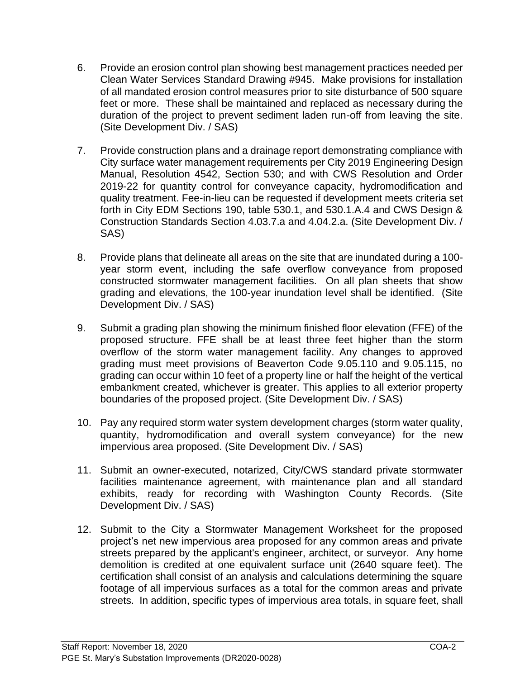- 6. Provide an erosion control plan showing best management practices needed per Clean Water Services Standard Drawing #945. Make provisions for installation of all mandated erosion control measures prior to site disturbance of 500 square feet or more. These shall be maintained and replaced as necessary during the duration of the project to prevent sediment laden run-off from leaving the site. (Site Development Div. / SAS)
- 7. Provide construction plans and a drainage report demonstrating compliance with City surface water management requirements per City 2019 Engineering Design Manual, Resolution 4542, Section 530; and with CWS Resolution and Order 2019-22 for quantity control for conveyance capacity, hydromodification and quality treatment. Fee-in-lieu can be requested if development meets criteria set forth in City EDM Sections 190, table 530.1, and 530.1.A.4 and CWS Design & Construction Standards Section 4.03.7.a and 4.04.2.a. (Site Development Div. / SAS)
- 8. Provide plans that delineate all areas on the site that are inundated during a 100 year storm event, including the safe overflow conveyance from proposed constructed stormwater management facilities. On all plan sheets that show grading and elevations, the 100-year inundation level shall be identified. (Site Development Div. / SAS)
- 9. Submit a grading plan showing the minimum finished floor elevation (FFE) of the proposed structure. FFE shall be at least three feet higher than the storm overflow of the storm water management facility. Any changes to approved grading must meet provisions of Beaverton Code 9.05.110 and 9.05.115, no grading can occur within 10 feet of a property line or half the height of the vertical embankment created, whichever is greater. This applies to all exterior property boundaries of the proposed project. (Site Development Div. / SAS)
- 10. Pay any required storm water system development charges (storm water quality, quantity, hydromodification and overall system conveyance) for the new impervious area proposed. (Site Development Div. / SAS)
- 11. Submit an owner-executed, notarized, City/CWS standard private stormwater facilities maintenance agreement, with maintenance plan and all standard exhibits, ready for recording with Washington County Records. (Site Development Div. / SAS)
- 12. Submit to the City a Stormwater Management Worksheet for the proposed project's net new impervious area proposed for any common areas and private streets prepared by the applicant's engineer, architect, or surveyor. Any home demolition is credited at one equivalent surface unit (2640 square feet). The certification shall consist of an analysis and calculations determining the square footage of all impervious surfaces as a total for the common areas and private streets. In addition, specific types of impervious area totals, in square feet, shall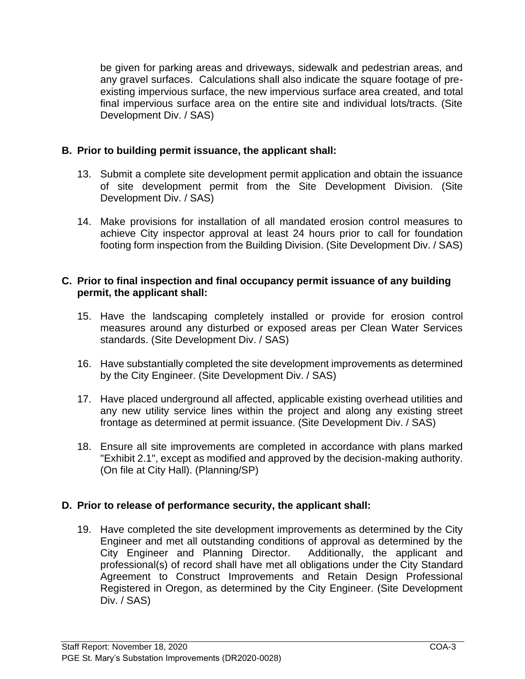be given for parking areas and driveways, sidewalk and pedestrian areas, and any gravel surfaces. Calculations shall also indicate the square footage of preexisting impervious surface, the new impervious surface area created, and total final impervious surface area on the entire site and individual lots/tracts. (Site Development Div. / SAS)

## **B. Prior to building permit issuance, the applicant shall:**

- 13. Submit a complete site development permit application and obtain the issuance of site development permit from the Site Development Division. (Site Development Div. / SAS)
- 14. Make provisions for installation of all mandated erosion control measures to achieve City inspector approval at least 24 hours prior to call for foundation footing form inspection from the Building Division. (Site Development Div. / SAS)

#### **C. Prior to final inspection and final occupancy permit issuance of any building permit, the applicant shall:**

- 15. Have the landscaping completely installed or provide for erosion control measures around any disturbed or exposed areas per Clean Water Services standards. (Site Development Div. / SAS)
- 16. Have substantially completed the site development improvements as determined by the City Engineer. (Site Development Div. / SAS)
- 17. Have placed underground all affected, applicable existing overhead utilities and any new utility service lines within the project and along any existing street frontage as determined at permit issuance. (Site Development Div. / SAS)
- 18. Ensure all site improvements are completed in accordance with plans marked "Exhibit 2.1", except as modified and approved by the decision-making authority. (On file at City Hall). (Planning/SP)

## **D. Prior to release of performance security, the applicant shall:**

19. Have completed the site development improvements as determined by the City Engineer and met all outstanding conditions of approval as determined by the City Engineer and Planning Director. Additionally, the applicant and professional(s) of record shall have met all obligations under the City Standard Agreement to Construct Improvements and Retain Design Professional Registered in Oregon, as determined by the City Engineer. (Site Development Div. / SAS)